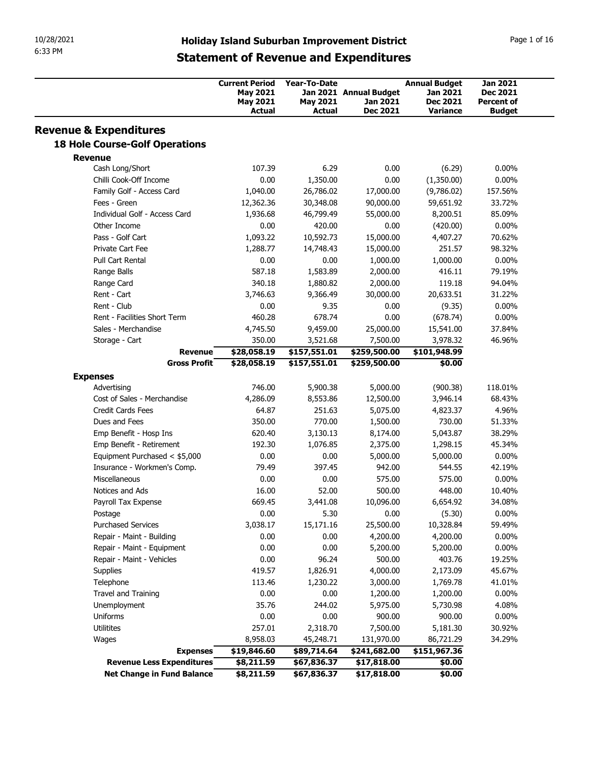| 10/28/2021<br>6:33 PM                                                      |                                              |                                          |                                  |                                                                                                     |                                  |                             |
|----------------------------------------------------------------------------|----------------------------------------------|------------------------------------------|----------------------------------|-----------------------------------------------------------------------------------------------------|----------------------------------|-----------------------------|
|                                                                            |                                              |                                          |                                  | <b>Holiday Island Suburban Improvement District</b><br><b>Statement of Revenue and Expenditures</b> |                                  | Page 1 of 16                |
|                                                                            |                                              | <b>Current Period</b><br><b>May 2021</b> | Year-To-Date                     | Jan 2021 Annual Budget                                                                              | <b>Annual Budget</b><br>Jan 2021 | Jan 2021<br>Dec 2021        |
|                                                                            |                                              | <b>May 2021</b><br><b>Actual</b>         | <b>May 2021</b><br><b>Actual</b> | Jan 2021<br><b>Dec 2021</b>                                                                         | Dec 2021<br>Variance             | Percent of<br><b>Budget</b> |
| <b>Revenue &amp; Expenditures</b><br><b>18 Hole Course-Golf Operations</b> |                                              |                                          |                                  |                                                                                                     |                                  |                             |
| <b>Revenue</b>                                                             |                                              |                                          |                                  |                                                                                                     |                                  |                             |
| Cash Long/Short<br>Chilli Cook-Off Income                                  |                                              | 107.39<br>0.00                           | 6.29<br>1,350.00                 | 0.00<br>0.00                                                                                        | (6.29)<br>(1,350.00)             | $0.00\%$<br>$0.00\%$        |
| Family Golf - Access Card                                                  |                                              | 1,040.00                                 | 26,786.02                        | 17,000.00                                                                                           | (9,786.02)                       | 157.56%                     |
| Fees - Green                                                               |                                              | 12,362.36                                | 30,348.08                        | 90,000.00                                                                                           | 59,651.92                        | 33.72%                      |
| Individual Golf - Access Card<br>Other Income                              |                                              | 1,936.68<br>0.00                         | 46,799.49<br>420.00              | 55,000.00<br>0.00                                                                                   | 8,200.51<br>(420.00)             | 85.09%<br>$0.00\%$          |
| Pass - Golf Cart                                                           |                                              | 1,093.22                                 | 10,592.73                        | 15,000.00                                                                                           | 4,407.27                         | 70.62%                      |
| Private Cart Fee                                                           |                                              | 1,288.77                                 | 14,748.43                        | 15,000.00                                                                                           | 251.57                           | 98.32%                      |
| Pull Cart Rental                                                           |                                              | 0.00                                     | 0.00                             | 1,000.00                                                                                            | 1,000.00                         | $0.00\%$                    |
| Range Balls<br>Range Card                                                  |                                              | 587.18<br>340.18                         | 1,583.89<br>1,880.82             | 2,000.00<br>2,000.00                                                                                | 416.11<br>119.18                 | 79.19%<br>94.04%            |
| Rent - Cart                                                                |                                              | 3,746.63                                 | 9,366.49                         | 30,000.00                                                                                           | 20,633.51                        | 31.22%                      |
| Rent - Club                                                                |                                              | 0.00                                     | 9.35                             | 0.00                                                                                                | (9.35)                           | $0.00\%$                    |
| Rent - Facilities Short Term<br>Sales - Merchandise                        |                                              | 460.28<br>4,745.50                       | 678.74<br>9,459.00               | 0.00<br>25,000.00                                                                                   | (678.74)<br>15,541.00            | $0.00\%$<br>37.84%          |
| Storage - Cart                                                             |                                              | 350.00                                   | 3,521.68                         | 7,500.00                                                                                            | 3,978.32                         | 46.96%                      |
|                                                                            | <b>Revenue</b>                               | \$28,058.19                              | \$157,551.01                     | \$259,500.00                                                                                        | \$101,948.99                     |                             |
|                                                                            | <b>Gross Profit</b>                          | \$28,058.19                              | \$157,551.01                     | \$259,500.00                                                                                        | \$0.00                           |                             |
| <b>Expenses</b><br>Advertising                                             |                                              | 746.00                                   | 5,900.38                         | 5,000.00                                                                                            | (900.38)                         | 118.01%                     |
| Cost of Sales - Merchandise                                                |                                              | 4,286.09                                 | 8,553.86                         | 12,500.00                                                                                           | 3,946.14                         | 68.43%                      |
| Credit Cards Fees                                                          |                                              | 64.87                                    | 251.63                           | 5,075.00                                                                                            | 4,823.37                         | 4.96%                       |
| Dues and Fees<br>Emp Benefit - Hosp Ins                                    |                                              | 350.00<br>620.40                         | 770.00<br>3,130.13               | 1,500.00<br>8,174.00                                                                                | 730.00<br>5,043.87               | 51.33%<br>38.29%            |
| Emp Benefit - Retirement                                                   |                                              | 192.30                                   | 1,076.85                         | 2,375.00                                                                                            | 1,298.15                         | 45.34%                      |
| Equipment Purchased < \$5,000                                              |                                              | 0.00                                     | 0.00                             | 5,000.00                                                                                            | 5,000.00                         | $0.00\%$                    |
| Insurance - Workmen's Comp.<br>Miscellaneous                               |                                              | 79.49<br>0.00                            | 397.45<br>0.00                   | 942.00<br>575.00                                                                                    | 544.55<br>575.00                 | 42.19%<br>$0.00\%$          |
| Notices and Ads                                                            |                                              | 16.00                                    | 52.00                            | 500.00                                                                                              | 448.00                           | 10.40%                      |
| Payroll Tax Expense                                                        |                                              | 669.45                                   | 3,441.08                         | 10,096.00                                                                                           | 6,654.92                         | 34.08%                      |
| Postage                                                                    |                                              | 0.00                                     | 5.30                             | 0.00                                                                                                | (5.30)                           | $0.00\%$                    |
| <b>Purchased Services</b>                                                  |                                              | 3,038.17<br>0.00                         | 15,171.16<br>0.00                | 25,500.00<br>4,200.00                                                                               | 10,328.84<br>4,200.00            | 59.49%<br>$0.00\%$          |
|                                                                            |                                              | 0.00                                     | 0.00                             | 5,200.00                                                                                            | 5,200.00                         | $0.00\%$                    |
| Repair - Maint - Building<br>Repair - Maint - Equipment                    |                                              | 0.00                                     | 96.24                            | 500.00                                                                                              | 403.76                           | 19.25%                      |
| Repair - Maint - Vehicles                                                  |                                              |                                          | 1,826.91                         | 4,000.00                                                                                            | 2,173.09                         | 45.67%                      |
| Supplies                                                                   |                                              | 419.57                                   |                                  |                                                                                                     |                                  | 41.01%                      |
| Telephone                                                                  |                                              | 113.46                                   | 1,230.22                         | 3,000.00                                                                                            | 1,769.78                         |                             |
| Travel and Training                                                        |                                              | 0.00<br>35.76                            | 0.00<br>244.02                   | 1,200.00<br>5,975.00                                                                                | 1,200.00                         | $0.00\%$<br>4.08%           |
| Unemployment<br>Uniforms                                                   |                                              | 0.00                                     | 0.00                             | 900.00                                                                                              | 5,730.98<br>900.00               | $0.00\%$                    |
| Utilitites                                                                 |                                              | 257.01                                   | 2,318.70                         | 7,500.00                                                                                            | 5,181.30                         | 30.92%                      |
| Wages                                                                      |                                              | 8,958.03                                 | 45,248.71                        | 131,970.00                                                                                          | 86,721.29                        | 34.29%                      |
|                                                                            | <b>Expenses</b><br>Revenue Less Expenditures | \$19,846.60<br>\$8,211.59                | \$89,714.64<br>\$67,836.37       | \$241,682.00<br>\$17,818.00                                                                         | \$151,967.36<br>\$0.00           |                             |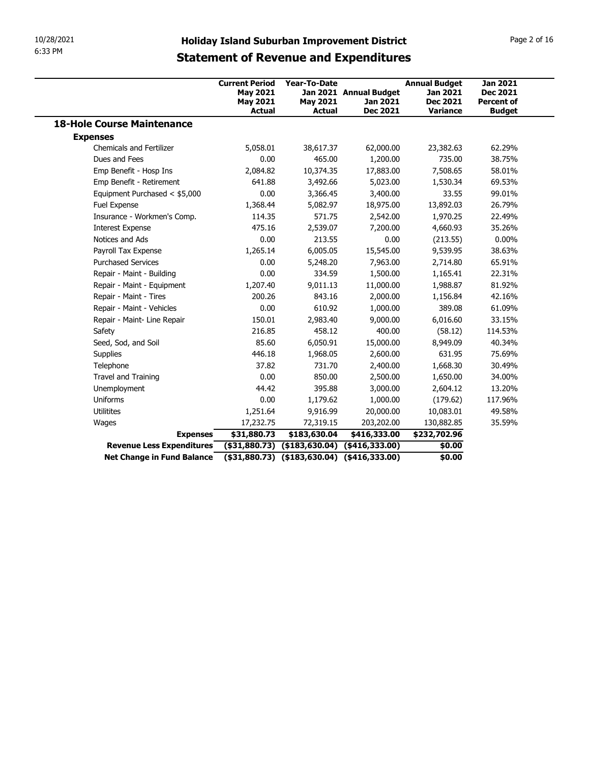| 10/28/2021<br>6:33 PM                                   |                                                                       |                                                  | <b>Holiday Island Suburban Improvement District</b><br><b>Statement of Revenue and Expenditures</b>          |                                                                 | Page 2 of 16                                                             |
|---------------------------------------------------------|-----------------------------------------------------------------------|--------------------------------------------------|--------------------------------------------------------------------------------------------------------------|-----------------------------------------------------------------|--------------------------------------------------------------------------|
|                                                         | <b>Current Period</b><br><b>May 2021</b><br><b>May 2021</b><br>Actual | <b>Year-To-Date</b><br><b>May 2021</b><br>Actual | Jan 2021 Annual Budget<br>Jan 2021<br>Dec 2021                                                               | <b>Annual Budget</b><br>Jan 2021<br><b>Dec 2021</b><br>Variance | <b>Jan 2021</b><br><b>Dec 2021</b><br><b>Percent of</b><br><b>Budget</b> |
| <b>18-Hole Course Maintenance</b>                       |                                                                       |                                                  |                                                                                                              |                                                                 |                                                                          |
| <b>Expenses</b>                                         |                                                                       |                                                  |                                                                                                              |                                                                 |                                                                          |
| <b>Chemicals and Fertilizer</b>                         | 5,058.01                                                              | 38,617.37                                        | 62,000.00                                                                                                    | 23,382.63                                                       | 62.29%                                                                   |
| Dues and Fees                                           | 0.00                                                                  | 465.00                                           | 1,200.00                                                                                                     | 735.00                                                          | 38.75%                                                                   |
| Emp Benefit - Hosp Ins                                  | 2,084.82                                                              | 10,374.35                                        | 17,883.00                                                                                                    | 7,508.65                                                        | 58.01%                                                                   |
| Emp Benefit - Retirement                                | 641.88                                                                | 3,492.66                                         | 5,023.00                                                                                                     | 1,530.34                                                        | 69.53%                                                                   |
| Equipment Purchased < \$5,000                           | 0.00                                                                  | 3,366.45                                         | 3,400.00                                                                                                     | 33.55                                                           | 99.01%                                                                   |
| Fuel Expense                                            | 1,368.44                                                              | 5,082.97                                         | 18,975.00                                                                                                    | 13,892.03                                                       | 26.79%                                                                   |
| Insurance - Workmen's Comp.                             | 114.35                                                                |                                                  |                                                                                                              | 1,970.25                                                        | 22.49%                                                                   |
| <b>Interest Expense</b>                                 | 475.16                                                                | 571.75<br>2,539.07                               | 2,542.00<br>7,200.00                                                                                         | 4,660.93                                                        | 35.26%                                                                   |
| Notices and Ads                                         | 0.00                                                                  | 213.55                                           | 0.00                                                                                                         |                                                                 | $0.00\%$                                                                 |
| Payroll Tax Expense                                     |                                                                       |                                                  |                                                                                                              | (213.55)                                                        |                                                                          |
| <b>Purchased Services</b>                               | 1,265.14<br>0.00                                                      | 6,005.05<br>5,248.20                             | 15,545.00<br>7,963.00                                                                                        | 9,539.95                                                        | 38.63%<br>65.91%                                                         |
| Repair - Maint - Building                               | 0.00                                                                  | 334.59                                           | 1,500.00                                                                                                     | 2,714.80                                                        | 22.31%                                                                   |
| Repair - Maint - Equipment                              | 1,207.40                                                              | 9,011.13                                         | 11,000.00                                                                                                    | 1,165.41<br>1,988.87                                            | 81.92%                                                                   |
| Repair - Maint - Tires                                  | 200.26                                                                | 843.16                                           |                                                                                                              |                                                                 | 42.16%                                                                   |
| Repair - Maint - Vehicles                               | 0.00                                                                  | 610.92                                           | 2,000.00<br>1,000.00                                                                                         | 1,156.84<br>389.08                                              | 61.09%                                                                   |
| Repair - Maint- Line Repair                             | 150.01                                                                | 2,983.40                                         | 9,000.00                                                                                                     | 6,016.60                                                        | 33.15%                                                                   |
| Safety                                                  | 216.85                                                                | 458.12                                           | 400.00                                                                                                       | (58.12)                                                         | 114.53%                                                                  |
| Seed, Sod, and Soil                                     | 85.60                                                                 | 6,050.91                                         | 15,000.00                                                                                                    | 8,949.09                                                        | 40.34%                                                                   |
| Supplies                                                | 446.18                                                                | 1,968.05                                         | 2,600.00                                                                                                     | 631.95                                                          | 75.69%                                                                   |
| Telephone                                               | 37.82                                                                 | 731.70                                           | 2,400.00                                                                                                     | 1,668.30                                                        | 30.49%                                                                   |
| Travel and Training                                     | 0.00                                                                  | 850.00                                           |                                                                                                              | 1,650.00                                                        | 34.00%                                                                   |
|                                                         |                                                                       |                                                  | 2,500.00                                                                                                     |                                                                 |                                                                          |
| Unemployment                                            | 44.42                                                                 | 395.88                                           | 3,000.00                                                                                                     | 2,604.12                                                        | 13.20%                                                                   |
| Uniforms                                                | 0.00                                                                  | 1,179.62                                         | 1,000.00                                                                                                     | (179.62)                                                        | 117.96%                                                                  |
| Utilitites                                              | 1,251.64                                                              | 9,916.99                                         | 20,000.00                                                                                                    | 10,083.01                                                       | 49.58%                                                                   |
| Wages                                                   | 17,232.75                                                             | 72,319.15                                        | 203,202.00                                                                                                   | 130,882.85                                                      | 35.59%                                                                   |
| <b>Expenses</b>                                         | \$31,880.73                                                           | \$183,630.04                                     | \$416,333.00                                                                                                 | \$232,702.96                                                    |                                                                          |
| Revenue Less Expenditures<br>Net Change in Fund Balance |                                                                       |                                                  | $($ \$31,880.73) $($ \$183,630.04) $($ \$416,333.00)<br>$($ \$31,880.73) $($ \$183,630.04) $($ \$416,333.00) | \$0.00<br>\$0.00                                                |                                                                          |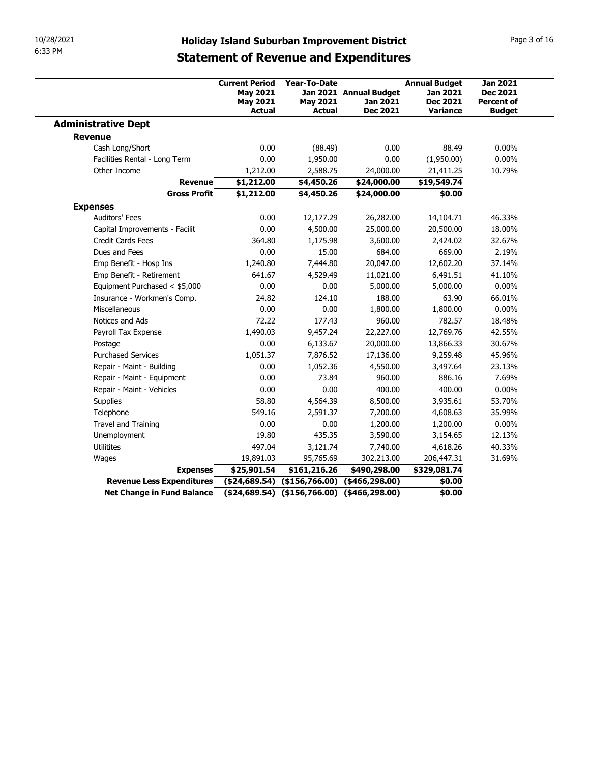|                                                                | <b>Holiday Island Suburban Improvement District</b> |                                                   |                                              |                             |                                      |
|----------------------------------------------------------------|-----------------------------------------------------|---------------------------------------------------|----------------------------------------------|-----------------------------|--------------------------------------|
|                                                                |                                                     |                                                   |                                              |                             |                                      |
|                                                                |                                                     |                                                   |                                              |                             |                                      |
|                                                                |                                                     |                                                   |                                              |                             |                                      |
| 10/28/2021<br>6:33 PM                                          |                                                     |                                                   |                                              |                             |                                      |
|                                                                |                                                     |                                                   |                                              |                             |                                      |
|                                                                |                                                     |                                                   |                                              |                             | Page 3 of 16                         |
|                                                                |                                                     |                                                   |                                              |                             |                                      |
|                                                                |                                                     |                                                   | <b>Statement of Revenue and Expenditures</b> |                             |                                      |
|                                                                | <b>Current Period</b>                               | <b>Year-To-Date</b>                               |                                              | <b>Annual Budget</b>        | <b>Jan 2021</b>                      |
|                                                                | <b>May 2021</b><br><b>May 2021</b>                  | <b>May 2021</b>                                   | Jan 2021 Annual Budget<br>Jan 2021           | Jan 2021<br><b>Dec 2021</b> | <b>Dec 2021</b><br><b>Percent of</b> |
| <b>Administrative Dept</b>                                     | Actual                                              | <b>Actual</b>                                     | <b>Dec 2021</b>                              | <b>Variance</b>             | <b>Budget</b>                        |
| <b>Revenue</b>                                                 |                                                     |                                                   |                                              |                             |                                      |
| Cash Long/Short                                                | 0.00                                                | (88.49)                                           | 0.00                                         | 88.49                       | $0.00\%$                             |
| Facilities Rental - Long Term                                  | 0.00                                                | 1,950.00                                          | 0.00                                         | (1,950.00)                  | $0.00\%$                             |
| Other Income                                                   | 1,212.00                                            | 2,588.75                                          | 24,000.00                                    | 21,411.25                   | 10.79%                               |
| <b>Revenue</b><br><b>Gross Profit</b>                          | \$1,212.00<br>\$1,212.00                            | \$4,450.26<br>\$4,450.26                          | \$24,000.00                                  | \$19,549.74                 |                                      |
| <b>Expenses</b>                                                |                                                     |                                                   | \$24,000.00                                  | \$0.00                      |                                      |
| Auditors' Fees                                                 | 0.00                                                | 12,177.29                                         | 26,282.00                                    | 14,104.71                   | 46.33%                               |
| Capital Improvements - Facilit                                 | 0.00                                                | 4,500.00                                          | 25,000.00                                    | 20,500.00                   | 18.00%                               |
| Credit Cards Fees                                              | 364.80                                              | 1,175.98                                          | 3,600.00                                     | 2,424.02                    | 32.67%                               |
| Dues and Fees                                                  | 0.00                                                | 15.00                                             | 684.00                                       | 669.00                      | 2.19%                                |
| Emp Benefit - Hosp Ins                                         | 1,240.80                                            | 7,444.80                                          | 20,047.00                                    | 12,602.20                   | 37.14%                               |
| Emp Benefit - Retirement                                       | 641.67                                              | 4,529.49                                          | 11,021.00                                    | 6,491.51                    | 41.10%                               |
| Equipment Purchased < \$5,000                                  | 0.00                                                | 0.00                                              | 5,000.00                                     | 5,000.00                    | $0.00\%$                             |
| Insurance - Workmen's Comp.<br>Miscellaneous                   | 24.82<br>0.00                                       | 124.10<br>0.00                                    | 188.00<br>1,800.00                           | 63.90<br>1,800.00           | 66.01%<br>$0.00\%$                   |
| Notices and Ads                                                | 72.22                                               | 177.43                                            | 960.00                                       | 782.57                      | 18.48%                               |
| Payroll Tax Expense                                            | 1,490.03                                            | 9,457.24                                          | 22,227.00                                    | 12,769.76                   | 42.55%                               |
| Postage                                                        | 0.00                                                | 6,133.67                                          | 20,000.00                                    | 13,866.33                   | 30.67%                               |
| <b>Purchased Services</b>                                      | 1,051.37                                            | 7,876.52                                          | 17,136.00                                    | 9,259.48                    | 45.96%                               |
| Repair - Maint - Building                                      | 0.00                                                | 1,052.36                                          | 4,550.00                                     | 3,497.64                    | 23.13%                               |
| Repair - Maint - Equipment                                     | 0.00                                                | 73.84                                             | 960.00                                       | 886.16                      | 7.69%                                |
| Repair - Maint - Vehicles                                      | 0.00                                                | 0.00                                              | 400.00                                       | 400.00                      | $0.00\%$                             |
| Supplies<br>Telephone                                          | 58.80<br>549.16                                     | 4,564.39<br>2,591.37                              | 8,500.00<br>7,200.00                         | 3,935.61<br>4,608.63        | 53.70%<br>35.99%                     |
| Travel and Training                                            | 0.00                                                | 0.00                                              | 1,200.00                                     | 1,200.00                    | $0.00\%$                             |
| Unemployment                                                   | 19.80                                               | 435.35                                            | 3,590.00                                     | 3,154.65                    | 12.13%                               |
|                                                                | 497.04                                              | 3,121.74                                          | 7,740.00                                     | 4,618.26                    | 40.33%                               |
| Utilitites                                                     | 19,891.03                                           | 95,765.69                                         | 302,213.00                                   | 206,447.31                  | 31.69%                               |
| Wages                                                          | \$25,901.54                                         | \$161,216.26                                      | \$490,298.00                                 | \$329,081.74                |                                      |
| <b>Expenses</b>                                                |                                                     |                                                   |                                              | \$0.00                      |                                      |
| Revenue Less Expenditures<br><b>Net Change in Fund Balance</b> | $( $24,689.54)$ $( $156,766.00)$ $( $466,298.00)$   | $( $24,689.54)$ $( $156,766.00)$ $( $466,298.00)$ |                                              | \$0.00                      |                                      |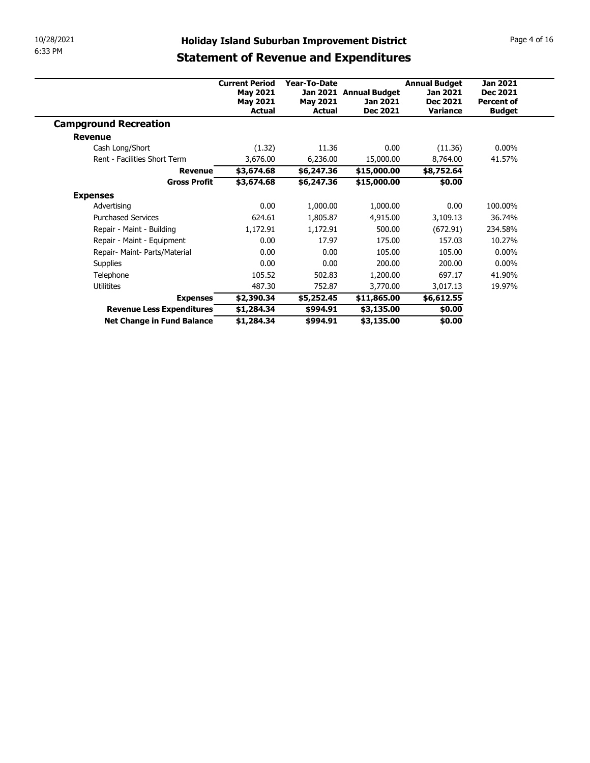| 10/28/2021                                              | <b>Holiday Island Suburban Improvement District</b> |                      |                          |                      | Page 4 of 16      |
|---------------------------------------------------------|-----------------------------------------------------|----------------------|--------------------------|----------------------|-------------------|
| 6:33 PM                                                 | <b>Statement of Revenue and Expenditures</b>        |                      |                          |                      |                   |
|                                                         |                                                     |                      |                          |                      |                   |
|                                                         | <b>Current Period</b>                               | Year-To-Date         |                          | <b>Annual Budget</b> | <b>Jan 2021</b>   |
|                                                         | <b>May 2021</b>                                     |                      | Jan 2021 Annual Budget   | Jan 2021             | <b>Dec 2021</b>   |
|                                                         | <b>May 2021</b>                                     | <b>May 2021</b>      | Jan 2021                 | Dec 2021             | <b>Percent of</b> |
|                                                         | Actual                                              | <b>Actual</b>        | <b>Dec 2021</b>          | <b>Variance</b>      | <b>Budget</b>     |
|                                                         |                                                     |                      |                          |                      |                   |
| <b>Campground Recreation</b>                            |                                                     |                      |                          |                      |                   |
| <b>Revenue</b>                                          |                                                     |                      |                          |                      |                   |
| Cash Long/Short                                         | (1.32)                                              | 11.36                | 0.00                     | (11.36)              | $0.00\%$          |
| Rent - Facilities Short Term                            | 3,676.00                                            | 6,236.00             | 15,000.00                | 8,764.00             | 41.57%            |
| <b>Revenue</b>                                          | \$3,674.68                                          | \$6,247.36           | \$15,000.00              | \$8,752.64           |                   |
| <b>Gross Profit</b>                                     | \$3,674.68                                          | \$6,247.36           | \$15,000.00              | \$0.00               |                   |
| <b>Expenses</b>                                         |                                                     |                      |                          |                      |                   |
| Advertising                                             | 0.00                                                | 1,000.00             | 1,000.00                 | 0.00                 | 100.00%           |
| <b>Purchased Services</b>                               | 624.61                                              | 1,805.87             | 4,915.00                 | 3,109.13             | 36.74%            |
| Repair - Maint - Building                               | 1,172.91                                            | 1,172.91             | 500.00                   | (672.91)             | 234.58%           |
| Repair - Maint - Equipment                              | 0.00                                                | 17.97                | 175.00                   | 157.03               | 10.27%            |
| Repair- Maint- Parts/Material                           | 0.00                                                | 0.00                 | 105.00                   | 105.00               | $0.00\%$          |
| Supplies                                                | 0.00                                                | 0.00                 | 200.00                   | 200.00               | $0.00\%$          |
| Telephone                                               | 105.52                                              | 502.83               | 1,200.00                 | 697.17               | 41.90%            |
| Utilitites                                              | 487.30                                              | 752.87               | 3,770.00                 | 3,017.13             | 19.97%            |
| <b>Expenses</b>                                         | \$2,390.34                                          | \$5,252.45           | \$11,865.00              | \$6,612.55           |                   |
| Revenue Less Expenditures<br>Net Change in Fund Balance | \$1,284.34<br>\$1,284.34                            | \$994.91<br>\$994.91 | \$3,135.00<br>\$3,135.00 | \$0.00<br>\$0.00     |                   |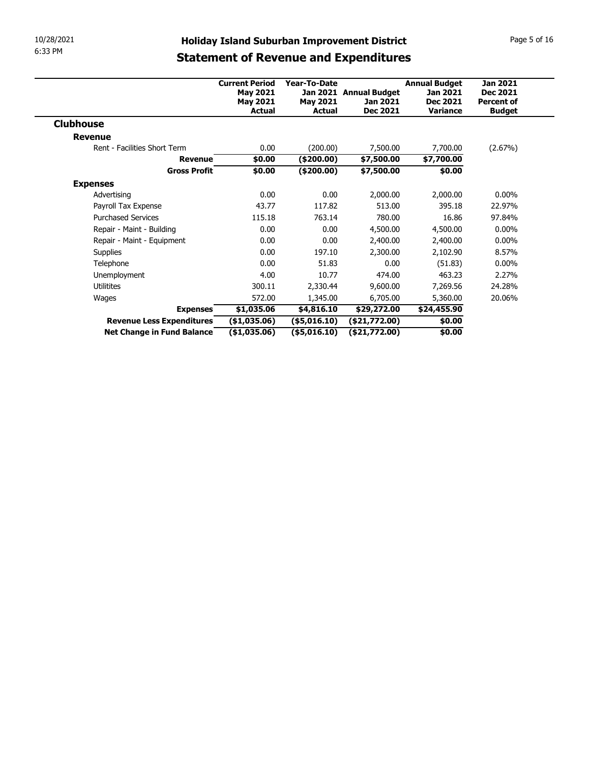| 10/28/2021                   |                       |                 | <b>Holiday Island Suburban Improvement District</b> |                      | Page 5 of 16      |
|------------------------------|-----------------------|-----------------|-----------------------------------------------------|----------------------|-------------------|
| 6:33 PM                      |                       |                 |                                                     |                      |                   |
|                              |                       |                 | <b>Statement of Revenue and Expenditures</b>        |                      |                   |
|                              | <b>Current Period</b> | Year-To-Date    |                                                     | <b>Annual Budget</b> | <b>Jan 2021</b>   |
|                              | <b>May 2021</b>       |                 | Jan 2021 Annual Budget                              | Jan 2021             | <b>Dec 2021</b>   |
|                              | <b>May 2021</b>       | <b>May 2021</b> | Jan 2021                                            | Dec 2021             | <b>Percent of</b> |
|                              | Actual                | <b>Actual</b>   | <b>Dec 2021</b>                                     | Variance             | <b>Budget</b>     |
| <b>Clubhouse</b>             |                       |                 |                                                     |                      |                   |
| <b>Revenue</b>               |                       |                 |                                                     |                      |                   |
|                              |                       | (200.00)        | 7,500.00                                            | 7,700.00             | (2.67%)           |
| Rent - Facilities Short Term | 0.00                  |                 |                                                     |                      |                   |
| <b>Revenue</b>               | \$0.00                | $(*200.00)$     | \$7,500.00                                          | \$7,700.00           |                   |
| <b>Gross Profit</b>          | \$0.00                | $(*200.00)$     | \$7,500.00                                          | \$0.00               |                   |
| <b>Expenses</b>              |                       |                 |                                                     |                      |                   |
| Advertising                  | 0.00                  | 0.00            | 2,000.00                                            | 2,000.00             | $0.00\%$          |
| Payroll Tax Expense          | 43.77                 | 117.82          | 513.00                                              | 395.18               | 22.97%            |
| <b>Purchased Services</b>    | 115.18                | 763.14          | 780.00                                              | 16.86                | 97.84%            |
| Repair - Maint - Building    | 0.00                  | 0.00            | 4,500.00                                            | 4,500.00             | $0.00\%$          |
| Repair - Maint - Equipment   | 0.00                  | 0.00            | 2,400.00                                            | 2,400.00             | $0.00\%$          |
| Supplies<br>Telephone        | 0.00<br>0.00          | 197.10<br>51.83 | 2,300.00<br>0.00                                    | 2,102.90             | 8.57%<br>$0.00\%$ |
| Unemployment                 | 4.00                  | 10.77           | 474.00                                              | (51.83)<br>463.23    | 2.27%             |
| Utilitites                   | 300.11                | 2,330.44        | 9,600.00                                            | 7,269.56             | 24.28%            |
| Wages                        | 572.00                | 1,345.00        | 6,705.00                                            | 5,360.00             | 20.06%            |
| <b>Expenses</b>              | \$1,035.06            | \$4,816.10      | \$29,272.00                                         | \$24,455.90          |                   |
| Revenue Less Expenditures    | (\$1,035.06)          | (\$5,016.10)    | (\$21,772.00)                                       | \$0.00               |                   |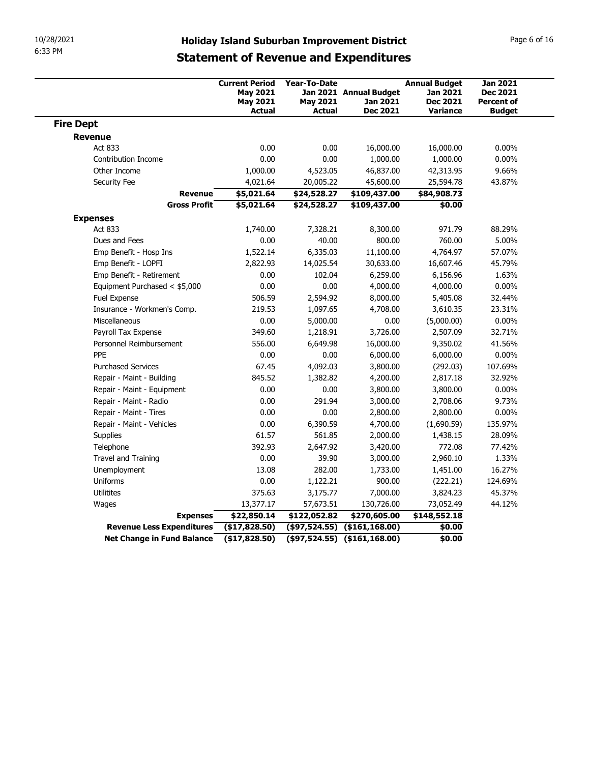| 10/28/2021                           |                                                                              |                                                         | <b>Holiday Island Suburban Improvement District</b>   |                                                                        | Page 6 of 16                                            |
|--------------------------------------|------------------------------------------------------------------------------|---------------------------------------------------------|-------------------------------------------------------|------------------------------------------------------------------------|---------------------------------------------------------|
| 6:33 PM                              |                                                                              |                                                         | <b>Statement of Revenue and Expenditures</b>          |                                                                        |                                                         |
|                                      | <b>Current Period</b><br><b>May 2021</b><br><b>May 2021</b><br><b>Actual</b> | <b>Year-To-Date</b><br><b>May 2021</b><br><b>Actual</b> | Jan 2021 Annual Budget<br>Jan 2021<br><b>Dec 2021</b> | <b>Annual Budget</b><br>Jan 2021<br><b>Dec 2021</b><br><b>Variance</b> | <b>Jan 2021</b><br><b>Dec 2021</b><br><b>Percent of</b> |
| <b>Fire Dept</b>                     |                                                                              |                                                         |                                                       |                                                                        | <b>Budget</b>                                           |
| <b>Revenue</b>                       |                                                                              |                                                         |                                                       |                                                                        |                                                         |
| Act 833                              | 0.00                                                                         | 0.00                                                    | 16,000.00                                             | 16,000.00                                                              | $0.00\%$                                                |
| Contribution Income                  | 0.00                                                                         | 0.00                                                    | 1,000.00                                              | 1,000.00                                                               | $0.00\%$                                                |
| Other Income                         | 1,000.00                                                                     | 4,523.05                                                | 46,837.00                                             | 42,313.95                                                              | 9.66%                                                   |
| Security Fee<br><b>Revenue</b>       | 4,021.64<br>\$5,021.64                                                       | 20,005.22                                               | 45,600.00                                             | 25,594.78                                                              | 43.87%                                                  |
| <b>Gross Profit</b>                  | \$5,021.64                                                                   | \$24,528.27<br>\$24,528.27                              | \$109,437.00<br>\$109,437.00                          | \$84,908.73<br>\$0.00                                                  |                                                         |
| <b>Expenses</b>                      |                                                                              |                                                         |                                                       |                                                                        |                                                         |
| Act 833                              | 1,740.00                                                                     | 7,328.21                                                | 8,300.00                                              | 971.79                                                                 | 88.29%                                                  |
| Dues and Fees                        | 0.00                                                                         | 40.00                                                   | 800.00                                                | 760.00                                                                 | 5.00%                                                   |
| Emp Benefit - Hosp Ins               | 1,522.14                                                                     | 6,335.03                                                | 11,100.00                                             | 4,764.97                                                               | 57.07%                                                  |
| Emp Benefit - LOPFI                  | 2,822.93                                                                     | 14,025.54                                               | 30,633.00                                             | 16,607.46                                                              | 45.79%                                                  |
| Emp Benefit - Retirement             | 0.00                                                                         | 102.04                                                  | 6,259.00                                              | 6,156.96                                                               | 1.63%                                                   |
| Equipment Purchased < \$5,000        | 0.00                                                                         | 0.00                                                    | 4,000.00                                              | 4,000.00                                                               | $0.00\%$                                                |
| Fuel Expense                         | 506.59                                                                       | 2,594.92                                                | 8,000.00                                              | 5,405.08                                                               | 32.44%                                                  |
| Insurance - Workmen's Comp.          | 219.53                                                                       | 1,097.65                                                | 4,708.00                                              | 3,610.35                                                               | 23.31%                                                  |
| Miscellaneous<br>Payroll Tax Expense | 0.00<br>349.60                                                               | 5,000.00<br>1,218.91                                    | 0.00<br>3,726.00                                      | (5,000.00)<br>2,507.09                                                 | $0.00\%$<br>32.71%                                      |
| Personnel Reimbursement              | 556.00                                                                       | 6,649.98                                                | 16,000.00                                             | 9,350.02                                                               | 41.56%                                                  |
| PPE                                  | 0.00                                                                         | 0.00                                                    | 6,000.00                                              | 6,000.00                                                               | $0.00\%$                                                |
| <b>Purchased Services</b>            | 67.45                                                                        | 4,092.03                                                | 3,800.00                                              | (292.03)                                                               | 107.69%                                                 |
| Repair - Maint - Building            | 845.52                                                                       | 1,382.82                                                | 4,200.00                                              | 2,817.18                                                               | 32.92%                                                  |
| Repair - Maint - Equipment           | 0.00                                                                         | 0.00                                                    | 3,800.00                                              | 3,800.00                                                               | $0.00\%$                                                |
| Repair - Maint - Radio               | 0.00                                                                         | 291.94                                                  | 3,000.00                                              | 2,708.06                                                               | 9.73%                                                   |
| Repair - Maint - Tires               | 0.00                                                                         | 0.00                                                    | 2,800.00                                              | 2,800.00                                                               | $0.00\%$                                                |
| Repair - Maint - Vehicles            | 0.00                                                                         | 6,390.59                                                | 4,700.00                                              | (1,690.59)                                                             | 135.97%                                                 |
| Supplies                             | 61.57                                                                        | 561.85                                                  | 2,000.00                                              | 1,438.15                                                               | 28.09%                                                  |
| Telephone                            | 392.93                                                                       | 2,647.92                                                | 3,420.00                                              | 772.08                                                                 | 77.42%                                                  |
| Travel and Training                  | 0.00                                                                         | 39.90                                                   | 3,000.00                                              | 2,960.10                                                               | 1.33%                                                   |
| Unemployment                         | 13.08                                                                        | 282.00                                                  | 1,733.00                                              | 1,451.00                                                               | 16.27%                                                  |
| Uniforms                             | 0.00                                                                         | 1,122.21                                                | 900.00                                                | (222.21)                                                               | 124.69%                                                 |
| Utilitites                           | 375.63                                                                       | 3,175.77                                                | 7,000.00                                              | 3,824.23                                                               | 45.37%                                                  |
| Wages<br><b>Expenses</b>             | 13,377.17<br>\$22,850.14                                                     | 57,673.51<br>\$122,052.82                               | 130,726.00<br>\$270,605.00                            | 73,052.49<br>\$148,552.18                                              | 44.12%                                                  |
|                                      | (\$17,828.50)                                                                |                                                         |                                                       |                                                                        |                                                         |
| Revenue Less Expenditures            |                                                                              |                                                         | $($97,524.55)$ $($161,168.00)$                        | \$0.00                                                                 |                                                         |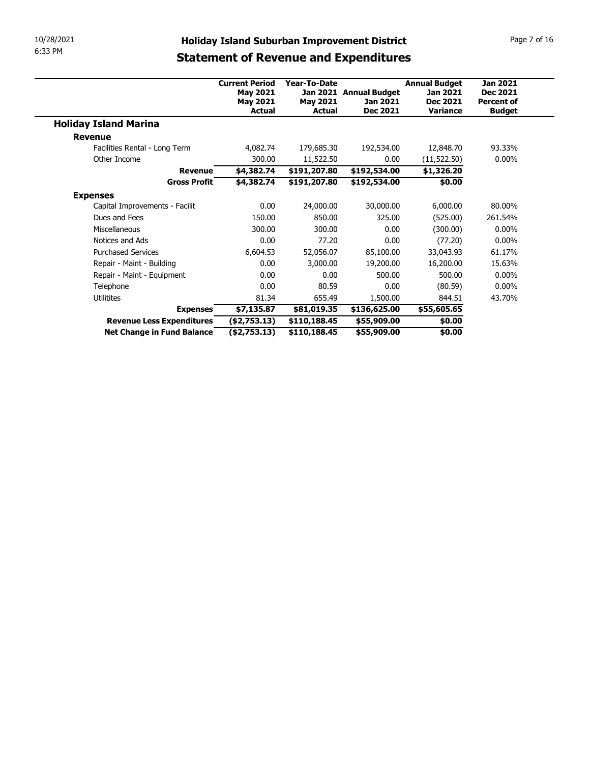| 10/28/2021                                              |                                    |                              |                                                     |                      | Page 7 of 16                         |
|---------------------------------------------------------|------------------------------------|------------------------------|-----------------------------------------------------|----------------------|--------------------------------------|
| 6:33 PM                                                 |                                    |                              | <b>Holiday Island Suburban Improvement District</b> |                      |                                      |
|                                                         |                                    |                              | <b>Statement of Revenue and Expenditures</b>        |                      |                                      |
|                                                         |                                    |                              |                                                     |                      |                                      |
|                                                         | <b>Current Period</b>              | <b>Year-To-Date</b>          |                                                     | <b>Annual Budget</b> | <b>Jan 2021</b>                      |
|                                                         | <b>May 2021</b><br><b>May 2021</b> | <b>May 2021</b>              | Jan 2021 Annual Budget<br>Jan 2021                  | Jan 2021<br>Dec 2021 | <b>Dec 2021</b><br><b>Percent of</b> |
|                                                         | Actual                             | <b>Actual</b>                | <b>Dec 2021</b>                                     | <b>Variance</b>      | <b>Budget</b>                        |
| <b>Holiday Island Marina</b>                            |                                    |                              |                                                     |                      |                                      |
| <b>Revenue</b>                                          |                                    |                              |                                                     |                      |                                      |
|                                                         | 4,082.74                           | 179,685.30                   | 192,534.00                                          | 12,848.70            | 93.33%                               |
| Facilities Rental - Long Term                           |                                    |                              |                                                     |                      |                                      |
| Other Income                                            | 300.00                             | 11,522.50                    | 0.00                                                | (11, 522.50)         | $0.00\%$                             |
| <b>Revenue</b>                                          | \$4,382.74                         | \$191,207.80                 | \$192,534.00                                        | \$1,326.20           |                                      |
| <b>Gross Profit</b>                                     | \$4,382.74                         | \$191,207.80                 | \$192,534.00                                        | \$0.00               |                                      |
| <b>Expenses</b>                                         |                                    |                              |                                                     |                      |                                      |
| Capital Improvements - Facilit                          | 0.00                               | 24,000.00                    | 30,000.00                                           | 6,000.00             | 80.00%                               |
| Dues and Fees                                           | 150.00                             | 850.00                       | 325.00                                              | (525.00)             | 261.54%                              |
| Miscellaneous                                           | 300.00                             | 300.00                       | 0.00                                                | (300.00)             | $0.00\%$                             |
| Notices and Ads                                         | 0.00                               | 77.20                        | 0.00                                                | (77.20)              | $0.00\%$                             |
| <b>Purchased Services</b>                               | 6,604.53                           | 52,056.07                    | 85,100.00                                           | 33,043.93            | 61.17%                               |
| Repair - Maint - Building                               | 0.00                               | 3,000.00                     | 19,200.00                                           | 16,200.00            | 15.63%                               |
| Repair - Maint - Equipment                              | 0.00                               | 0.00                         | 500.00                                              | 500.00               | $0.00\%$                             |
| Telephone                                               | 0.00                               | 80.59                        | 0.00                                                | (80.59)              | $0.00\%$                             |
| Utilitites                                              | 81.34                              | 655.49                       | 1,500.00                                            | 844.51               | 43.70%                               |
| <b>Expenses</b>                                         | \$7,135.87                         | \$81,019.35                  | \$136,625.00                                        | \$55,605.65          |                                      |
| Revenue Less Expenditures<br>Net Change in Fund Balance | ( \$2,753.13)<br>$(*2,753.13)$     | \$110,188.45<br>\$110,188.45 | \$55,909.00<br>\$55,909.00                          | \$0.00<br>\$0.00     |                                      |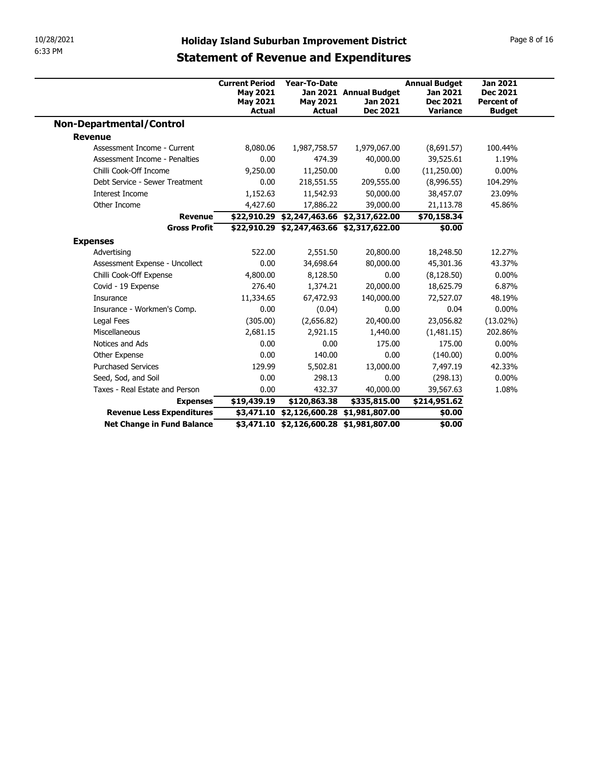| 10/28/2021<br>6:33 PM                                 |                           |                                           |                                                     |                                    |                                    |
|-------------------------------------------------------|---------------------------|-------------------------------------------|-----------------------------------------------------|------------------------------------|------------------------------------|
|                                                       |                           |                                           |                                                     |                                    |                                    |
|                                                       |                           |                                           |                                                     |                                    |                                    |
|                                                       |                           |                                           |                                                     |                                    |                                    |
|                                                       |                           |                                           |                                                     |                                    |                                    |
|                                                       |                           |                                           |                                                     |                                    |                                    |
|                                                       |                           |                                           |                                                     |                                    |                                    |
|                                                       |                           |                                           |                                                     |                                    |                                    |
|                                                       |                           |                                           |                                                     |                                    |                                    |
|                                                       |                           |                                           |                                                     |                                    |                                    |
|                                                       |                           |                                           |                                                     |                                    |                                    |
|                                                       |                           |                                           |                                                     |                                    |                                    |
|                                                       |                           |                                           |                                                     |                                    |                                    |
|                                                       |                           |                                           |                                                     |                                    |                                    |
|                                                       |                           |                                           | <b>Holiday Island Suburban Improvement District</b> |                                    | Page 8 of 16                       |
|                                                       |                           |                                           |                                                     |                                    |                                    |
|                                                       |                           |                                           | <b>Statement of Revenue and Expenditures</b>        |                                    |                                    |
|                                                       | <b>Current Period</b>     | <b>Year-To-Date</b>                       |                                                     | <b>Annual Budget</b>               | <b>Jan 2021</b>                    |
|                                                       | <b>May 2021</b>           |                                           | Jan 2021 Annual Budget                              | Jan 2021                           | <b>Dec 2021</b>                    |
|                                                       | <b>May 2021</b><br>Actual | <b>May 2021</b><br>Actual                 | Jan 2021<br>Dec 2021                                | <b>Dec 2021</b><br><b>Variance</b> | <b>Percent of</b><br><b>Budget</b> |
| <b>Non-Departmental/Control</b>                       |                           |                                           |                                                     |                                    |                                    |
| <b>Revenue</b>                                        |                           |                                           |                                                     |                                    |                                    |
| Assessment Income - Current                           | 8,080.06                  | 1,987,758.57                              | 1,979,067.00                                        | (8,691.57)                         | 100.44%                            |
| Assessment Income - Penalties                         | 0.00                      | 474.39                                    | 40,000.00                                           | 39,525.61                          | 1.19%                              |
| Chilli Cook-Off Income                                | 9,250.00                  | 11,250.00                                 | 0.00                                                | (11,250.00)                        | $0.00\%$                           |
| Debt Service - Sewer Treatment                        | 0.00                      | 218,551.55                                | 209,555.00                                          | (8,996.55)                         | 104.29%                            |
| Interest Income                                       | 1,152.63                  | 11,542.93                                 | 50,000.00                                           | 38,457.07                          | 23.09%                             |
| Other Income                                          | 4,427.60                  | 17,886.22                                 | 39,000.00                                           | 21,113.78                          | 45.86%                             |
| <b>Revenue</b>                                        |                           | \$22,910.29 \$2,247,463.66 \$2,317,622.00 |                                                     | \$70,158.34                        |                                    |
| <b>Gross Profit</b>                                   |                           | \$22,910.29 \$2,247,463.66 \$2,317,622.00 |                                                     | \$0.00                             |                                    |
| <b>Expenses</b>                                       |                           |                                           |                                                     |                                    |                                    |
| Advertising                                           | 522.00                    | 2,551.50                                  | 20,800.00                                           | 18,248.50                          | 12.27%                             |
| Assessment Expense - Uncollect                        | 0.00                      | 34,698.64                                 | 80,000.00                                           | 45,301.36                          | 43.37%                             |
| Chilli Cook-Off Expense                               | 4,800.00                  | 8,128.50                                  | 0.00                                                | (8, 128.50)                        | $0.00\%$                           |
| Covid - 19 Expense<br>Insurance                       | 276.40<br>11,334.65       | 1,374.21<br>67,472.93                     | 20,000.00<br>140,000.00                             | 18,625.79<br>72,527.07             | 6.87%<br>48.19%                    |
| Insurance - Workmen's Comp.                           | 0.00                      | (0.04)                                    | 0.00                                                | 0.04                               | $0.00\%$                           |
| Legal Fees                                            | (305.00)                  | (2,656.82)                                | 20,400.00                                           | 23,056.82                          | $(13.02\%)$                        |
| Miscellaneous                                         | 2,681.15                  | 2,921.15                                  | 1,440.00                                            | (1,481.15)                         | 202.86%                            |
| Notices and Ads                                       | 0.00                      | 0.00                                      | 175.00                                              | 175.00                             | $0.00\%$                           |
|                                                       | 0.00                      | 140.00                                    | 0.00                                                | (140.00)                           | $0.00\%$                           |
|                                                       | 129.99                    | 5,502.81                                  | 13,000.00                                           | 7,497.19                           | 42.33%                             |
| Other Expense                                         | 0.00                      | 298.13                                    | 0.00                                                | (298.13)                           | $0.00\%$                           |
| <b>Purchased Services</b>                             |                           | 432.37                                    | 40,000.00                                           | 39,567.63                          | 1.08%                              |
| Seed, Sod, and Soil<br>Taxes - Real Estate and Person | 0.00                      |                                           | \$335,815.00                                        | \$214,951.62                       |                                    |
| <b>Expenses</b>                                       | \$19,439.19               | \$120,863.38                              |                                                     |                                    |                                    |
| Revenue Less Expenditures                             |                           | \$3,471.10 \$2,126,600.28 \$1,981,807.00  |                                                     | \$0.00                             |                                    |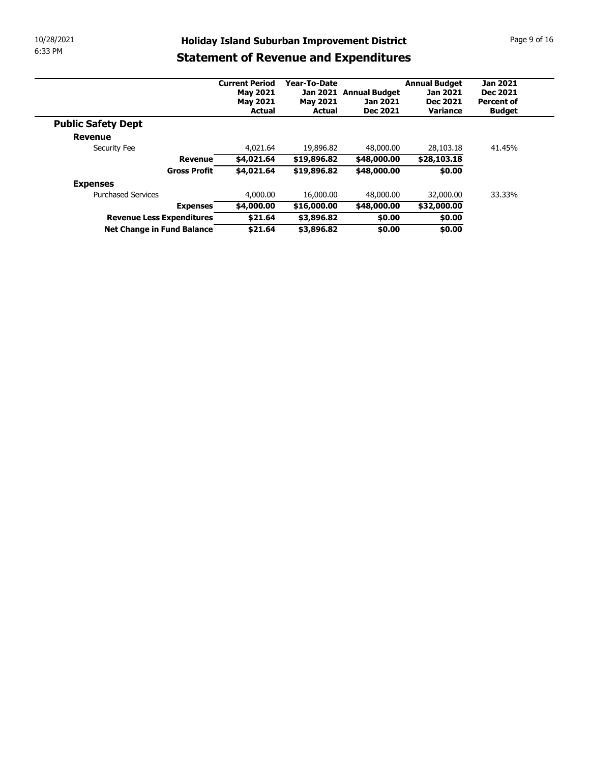| 10/28/2021<br><b>Holiday Island Suburban Improvement District</b><br>6:33 PM<br><b>Statement of Revenue and Expenditures</b><br>Year-To-Date<br><b>Annual Budget</b><br><b>Jan 2021</b><br><b>Current Period</b><br>Jan 2021 Annual Budget<br>Dec 2021<br><b>May 2021</b><br>Jan 2021<br><b>May 2021</b><br><b>May 2021</b><br>Jan 2021<br>Dec 2021<br><b>Percent of</b><br><b>Actual</b><br>Dec 2021<br>Variance<br><b>Actual</b><br><b>Budget</b><br><b>Public Safety Dept</b><br><b>Revenue</b><br>4,021.64<br>19,896.82<br>48,000.00<br>28,103.18<br>41.45%<br>Security Fee<br>\$4,021.64<br>\$19,896.82<br>\$28,103.18<br><b>Revenue</b><br>\$48,000.00<br><b>Gross Profit</b><br>\$4,021.64<br>\$19,896.82<br>\$48,000.00<br>\$0.00<br><b>Expenses</b><br><b>Purchased Services</b><br>33.33%<br>4,000.00<br>16,000.00<br>48,000.00<br>32,000.00<br>\$32,000.00<br>\$4,000.00<br>\$16,000.00<br>\$48,000.00<br><b>Expenses</b><br>Revenue Less Expenditures<br>\$21.64<br>\$3,896.82<br>\$0.00<br>\$0.00<br>\$21.64<br>Net Change in Fund Balance<br>\$3,896.82<br>\$0.00<br>\$0.00 |  |  |  |  |
|-------------------------------------------------------------------------------------------------------------------------------------------------------------------------------------------------------------------------------------------------------------------------------------------------------------------------------------------------------------------------------------------------------------------------------------------------------------------------------------------------------------------------------------------------------------------------------------------------------------------------------------------------------------------------------------------------------------------------------------------------------------------------------------------------------------------------------------------------------------------------------------------------------------------------------------------------------------------------------------------------------------------------------------------------------------------------------------------|--|--|--|--|
|                                                                                                                                                                                                                                                                                                                                                                                                                                                                                                                                                                                                                                                                                                                                                                                                                                                                                                                                                                                                                                                                                           |  |  |  |  |
|                                                                                                                                                                                                                                                                                                                                                                                                                                                                                                                                                                                                                                                                                                                                                                                                                                                                                                                                                                                                                                                                                           |  |  |  |  |
|                                                                                                                                                                                                                                                                                                                                                                                                                                                                                                                                                                                                                                                                                                                                                                                                                                                                                                                                                                                                                                                                                           |  |  |  |  |
|                                                                                                                                                                                                                                                                                                                                                                                                                                                                                                                                                                                                                                                                                                                                                                                                                                                                                                                                                                                                                                                                                           |  |  |  |  |
|                                                                                                                                                                                                                                                                                                                                                                                                                                                                                                                                                                                                                                                                                                                                                                                                                                                                                                                                                                                                                                                                                           |  |  |  |  |
|                                                                                                                                                                                                                                                                                                                                                                                                                                                                                                                                                                                                                                                                                                                                                                                                                                                                                                                                                                                                                                                                                           |  |  |  |  |
|                                                                                                                                                                                                                                                                                                                                                                                                                                                                                                                                                                                                                                                                                                                                                                                                                                                                                                                                                                                                                                                                                           |  |  |  |  |
|                                                                                                                                                                                                                                                                                                                                                                                                                                                                                                                                                                                                                                                                                                                                                                                                                                                                                                                                                                                                                                                                                           |  |  |  |  |
|                                                                                                                                                                                                                                                                                                                                                                                                                                                                                                                                                                                                                                                                                                                                                                                                                                                                                                                                                                                                                                                                                           |  |  |  |  |
| Page 9 of 16                                                                                                                                                                                                                                                                                                                                                                                                                                                                                                                                                                                                                                                                                                                                                                                                                                                                                                                                                                                                                                                                              |  |  |  |  |
|                                                                                                                                                                                                                                                                                                                                                                                                                                                                                                                                                                                                                                                                                                                                                                                                                                                                                                                                                                                                                                                                                           |  |  |  |  |
|                                                                                                                                                                                                                                                                                                                                                                                                                                                                                                                                                                                                                                                                                                                                                                                                                                                                                                                                                                                                                                                                                           |  |  |  |  |
|                                                                                                                                                                                                                                                                                                                                                                                                                                                                                                                                                                                                                                                                                                                                                                                                                                                                                                                                                                                                                                                                                           |  |  |  |  |
|                                                                                                                                                                                                                                                                                                                                                                                                                                                                                                                                                                                                                                                                                                                                                                                                                                                                                                                                                                                                                                                                                           |  |  |  |  |
|                                                                                                                                                                                                                                                                                                                                                                                                                                                                                                                                                                                                                                                                                                                                                                                                                                                                                                                                                                                                                                                                                           |  |  |  |  |
|                                                                                                                                                                                                                                                                                                                                                                                                                                                                                                                                                                                                                                                                                                                                                                                                                                                                                                                                                                                                                                                                                           |  |  |  |  |
|                                                                                                                                                                                                                                                                                                                                                                                                                                                                                                                                                                                                                                                                                                                                                                                                                                                                                                                                                                                                                                                                                           |  |  |  |  |
|                                                                                                                                                                                                                                                                                                                                                                                                                                                                                                                                                                                                                                                                                                                                                                                                                                                                                                                                                                                                                                                                                           |  |  |  |  |
|                                                                                                                                                                                                                                                                                                                                                                                                                                                                                                                                                                                                                                                                                                                                                                                                                                                                                                                                                                                                                                                                                           |  |  |  |  |
|                                                                                                                                                                                                                                                                                                                                                                                                                                                                                                                                                                                                                                                                                                                                                                                                                                                                                                                                                                                                                                                                                           |  |  |  |  |
|                                                                                                                                                                                                                                                                                                                                                                                                                                                                                                                                                                                                                                                                                                                                                                                                                                                                                                                                                                                                                                                                                           |  |  |  |  |
|                                                                                                                                                                                                                                                                                                                                                                                                                                                                                                                                                                                                                                                                                                                                                                                                                                                                                                                                                                                                                                                                                           |  |  |  |  |
|                                                                                                                                                                                                                                                                                                                                                                                                                                                                                                                                                                                                                                                                                                                                                                                                                                                                                                                                                                                                                                                                                           |  |  |  |  |
|                                                                                                                                                                                                                                                                                                                                                                                                                                                                                                                                                                                                                                                                                                                                                                                                                                                                                                                                                                                                                                                                                           |  |  |  |  |
|                                                                                                                                                                                                                                                                                                                                                                                                                                                                                                                                                                                                                                                                                                                                                                                                                                                                                                                                                                                                                                                                                           |  |  |  |  |
|                                                                                                                                                                                                                                                                                                                                                                                                                                                                                                                                                                                                                                                                                                                                                                                                                                                                                                                                                                                                                                                                                           |  |  |  |  |
|                                                                                                                                                                                                                                                                                                                                                                                                                                                                                                                                                                                                                                                                                                                                                                                                                                                                                                                                                                                                                                                                                           |  |  |  |  |
|                                                                                                                                                                                                                                                                                                                                                                                                                                                                                                                                                                                                                                                                                                                                                                                                                                                                                                                                                                                                                                                                                           |  |  |  |  |
|                                                                                                                                                                                                                                                                                                                                                                                                                                                                                                                                                                                                                                                                                                                                                                                                                                                                                                                                                                                                                                                                                           |  |  |  |  |
|                                                                                                                                                                                                                                                                                                                                                                                                                                                                                                                                                                                                                                                                                                                                                                                                                                                                                                                                                                                                                                                                                           |  |  |  |  |
|                                                                                                                                                                                                                                                                                                                                                                                                                                                                                                                                                                                                                                                                                                                                                                                                                                                                                                                                                                                                                                                                                           |  |  |  |  |
|                                                                                                                                                                                                                                                                                                                                                                                                                                                                                                                                                                                                                                                                                                                                                                                                                                                                                                                                                                                                                                                                                           |  |  |  |  |
|                                                                                                                                                                                                                                                                                                                                                                                                                                                                                                                                                                                                                                                                                                                                                                                                                                                                                                                                                                                                                                                                                           |  |  |  |  |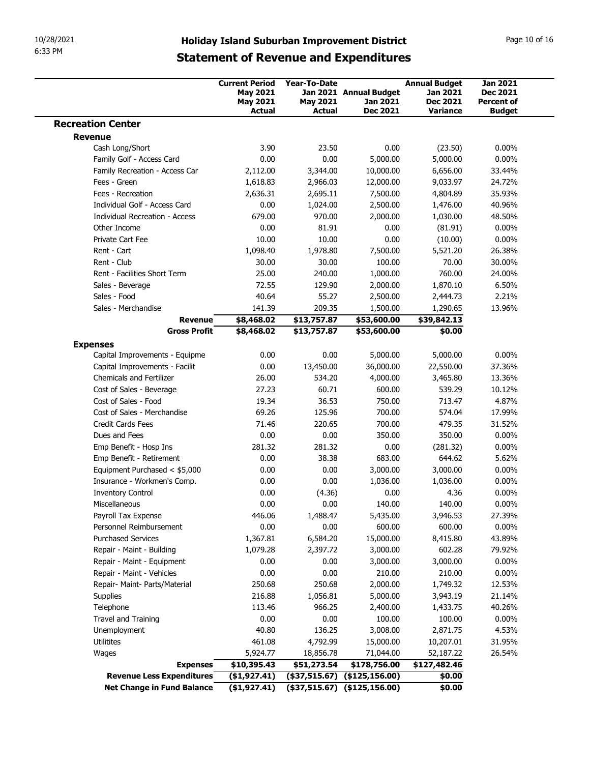| 6:33 PM |                                                             |                                                             |                                 | <b>Holiday Island Suburban Improvement District</b> |                                                     | Page 10 of 16                                    |
|---------|-------------------------------------------------------------|-------------------------------------------------------------|---------------------------------|-----------------------------------------------------|-----------------------------------------------------|--------------------------------------------------|
|         |                                                             |                                                             |                                 | <b>Statement of Revenue and Expenditures</b>        |                                                     |                                                  |
|         |                                                             | <b>Current Period</b><br><b>May 2021</b><br><b>May 2021</b> | Year-To-Date<br><b>May 2021</b> | Jan 2021 Annual Budget<br>Jan 2021<br>Dec 2021      | <b>Annual Budget</b><br>Jan 2021<br><b>Dec 2021</b> | <b>Jan 2021</b><br><b>Dec 2021</b><br>Percent of |
|         | <b>Recreation Center</b>                                    | <b>Actual</b>                                               | Actual                          |                                                     | Variance                                            | <b>Budget</b>                                    |
|         | <b>Revenue</b>                                              |                                                             |                                 |                                                     |                                                     |                                                  |
|         | Cash Long/Short                                             | 3.90                                                        | 23.50                           | 0.00                                                | (23.50)                                             | $0.00\%$                                         |
|         | Family Golf - Access Card<br>Family Recreation - Access Car | 0.00<br>2,112.00                                            | 0.00<br>3,344.00                | 5,000.00<br>10,000.00                               | 5,000.00<br>6,656.00                                | $0.00\%$<br>33.44%                               |
|         | Fees - Green                                                | 1,618.83                                                    | 2,966.03                        | 12,000.00                                           | 9,033.97                                            | 24.72%                                           |
|         | Fees - Recreation                                           | 2,636.31                                                    | 2,695.11                        | 7,500.00                                            | 4,804.89                                            | 35.93%                                           |
|         | Individual Golf - Access Card                               | 0.00                                                        | 1,024.00                        | 2,500.00                                            | 1,476.00                                            | 40.96%                                           |
|         | Individual Recreation - Access<br>Other Income              | 679.00<br>0.00                                              | 970.00<br>81.91                 | 2,000.00<br>0.00                                    | 1,030.00<br>(81.91)                                 | 48.50%<br>$0.00\%$                               |
|         | Private Cart Fee                                            | 10.00                                                       | 10.00                           | 0.00                                                | (10.00)                                             | $0.00\%$                                         |
|         | Rent - Cart                                                 | 1,098.40                                                    | 1,978.80                        | 7,500.00                                            | 5,521.20                                            | 26.38%                                           |
|         | Rent - Club                                                 | 30.00                                                       | 30.00                           | 100.00                                              | 70.00                                               | 30.00%                                           |
|         | Rent - Facilities Short Term<br>Sales - Beverage            | 25.00<br>72.55                                              | 240.00<br>129.90                | 1,000.00<br>2,000.00                                | 760.00<br>1,870.10                                  | 24.00%<br>6.50%                                  |
|         | Sales - Food                                                | 40.64                                                       | 55.27                           | 2,500.00                                            | 2,444.73                                            | 2.21%                                            |
|         | Sales - Merchandise                                         | 141.39                                                      | 209.35                          | 1,500.00                                            | 1,290.65                                            | 13.96%                                           |
|         | <b>Revenue</b><br><b>Gross Profit</b>                       | \$8,468.02<br>\$8,468.02                                    | \$13,757.87<br>\$13,757.87      | \$53,600.00<br>\$53,600.00                          | \$39,842.13<br>\$0.00                               |                                                  |
|         | <b>Expenses</b>                                             |                                                             |                                 |                                                     |                                                     |                                                  |
|         | Capital Improvements - Equipme                              | 0.00                                                        | 0.00                            | 5,000.00                                            | 5,000.00                                            | $0.00\%$                                         |
|         | Capital Improvements - Facilit                              | 0.00                                                        | 13,450.00                       | 36,000.00                                           | 22,550.00                                           | 37.36%                                           |
|         | Chemicals and Fertilizer                                    | 26.00                                                       | 534.20                          | 4,000.00                                            | 3,465.80                                            | 13.36%                                           |
|         | Cost of Sales - Beverage<br>Cost of Sales - Food            | 27.23<br>19.34                                              | 60.71<br>36.53                  | 600.00<br>750.00                                    | 539.29<br>713.47                                    | 10.12%<br>4.87%                                  |
|         | Cost of Sales - Merchandise                                 | 69.26                                                       | 125.96                          | 700.00                                              | 574.04                                              | 17.99%                                           |
|         | Credit Cards Fees                                           | 71.46                                                       | 220.65                          | 700.00                                              | 479.35                                              | 31.52%                                           |
|         | Dues and Fees                                               | 0.00                                                        | 0.00                            | 350.00                                              | 350.00                                              | $0.00\%$                                         |
|         | Emp Benefit - Hosp Ins<br>Emp Benefit - Retirement          | 281.32<br>0.00                                              | 281.32<br>38.38                 | 0.00<br>683.00                                      | (281.32)<br>644.62                                  | $0.00\%$<br>5.62%                                |
|         | Equipment Purchased < \$5,000                               | 0.00                                                        | 0.00                            | 3,000.00                                            | 3,000.00                                            | $0.00\%$                                         |
|         | Insurance - Workmen's Comp.                                 | 0.00                                                        | 0.00                            | 1,036.00                                            | 1,036.00                                            | $0.00\%$                                         |
|         | <b>Inventory Control</b>                                    | 0.00                                                        | (4.36)                          | 0.00                                                | 4.36                                                | $0.00\%$                                         |
|         | Miscellaneous                                               | 0.00                                                        | 0.00                            | 140.00                                              | 140.00                                              | $0.00\%$                                         |
|         | Payroll Tax Expense<br>Personnel Reimbursement              | 446.06<br>0.00                                              | 1,488.47<br>0.00                | 5,435.00<br>600.00                                  | 3,946.53<br>600.00                                  | 27.39%<br>$0.00\%$                               |
|         | <b>Purchased Services</b>                                   | 1,367.81                                                    | 6,584.20                        | 15,000.00                                           | 8,415.80                                            | 43.89%                                           |
|         | Repair - Maint - Building                                   | 1,079.28                                                    | 2,397.72                        | 3,000.00                                            | 602.28                                              | 79.92%                                           |
|         | Repair - Maint - Equipment                                  | 0.00                                                        | 0.00                            | 3,000.00                                            | 3,000.00                                            | $0.00\%$                                         |
|         | Repair - Maint - Vehicles<br>Repair- Maint- Parts/Material  | 0.00<br>250.68                                              | 0.00<br>250.68                  | 210.00<br>2,000.00                                  | 210.00<br>1,749.32                                  | $0.00\%$<br>12.53%                               |
|         | Supplies                                                    | 216.88                                                      | 1,056.81                        | 5,000.00                                            | 3,943.19                                            | 21.14%                                           |
|         | Telephone                                                   | 113.46                                                      | 966.25                          | 2,400.00                                            | 1,433.75                                            | 40.26%                                           |
|         | Travel and Training                                         | 0.00                                                        | 0.00                            | 100.00                                              | 100.00                                              | $0.00\%$                                         |
|         | Unemployment                                                | 40.80                                                       | 136.25                          | 3,008.00                                            | 2,871.75                                            | 4.53%                                            |
|         | Utilitites                                                  | 461.08                                                      | 4,792.99                        | 15,000.00                                           | 10,207.01                                           | 31.95%                                           |
|         | Wages<br><b>Expenses</b>                                    | 5,924.77<br>\$10,395.43                                     | 18,856.78<br>\$51,273.54        | 71,044.00<br>\$178,756.00                           | 52,187.22<br>\$127,482.46                           | 26.54%                                           |
|         |                                                             |                                                             |                                 |                                                     |                                                     |                                                  |
|         | <b>Revenue Less Expenditures</b>                            | (\$1,927.41)                                                |                                 | $($ \$37,515.67) $($ \$125,156.00)                  | \$0.00                                              |                                                  |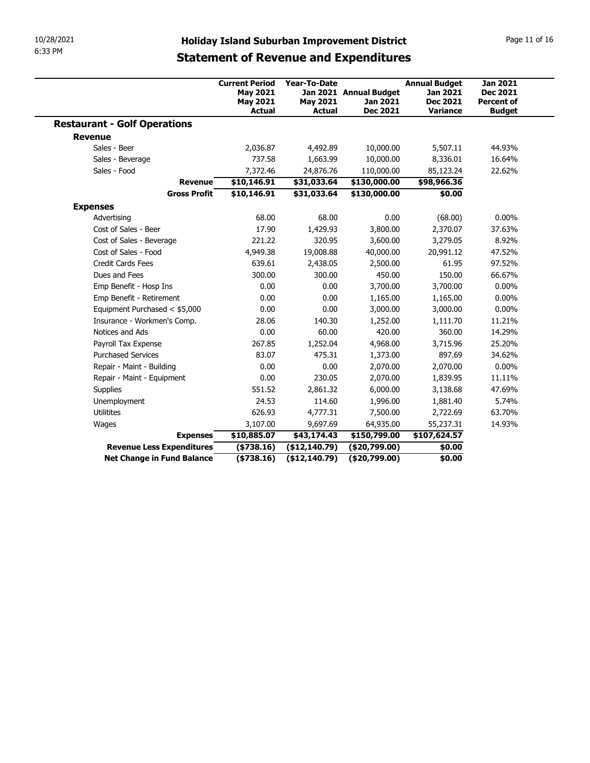| 10/28/2021<br>6:33 PM                                          |                                                                              |                                                  | <b>Holiday Island Suburban Improvement District</b> |                                                                        |                                                                          |
|----------------------------------------------------------------|------------------------------------------------------------------------------|--------------------------------------------------|-----------------------------------------------------|------------------------------------------------------------------------|--------------------------------------------------------------------------|
|                                                                |                                                                              |                                                  | <b>Statement of Revenue and Expenditures</b>        |                                                                        | Page 11 of 16                                                            |
|                                                                | <b>Current Period</b><br><b>May 2021</b><br><b>May 2021</b><br><b>Actual</b> | Year-To-Date<br><b>May 2021</b><br><b>Actual</b> | Jan 2021 Annual Budget<br>Jan 2021<br>Dec 2021      | <b>Annual Budget</b><br><b>Jan 2021</b><br><b>Dec 2021</b><br>Variance | <b>Jan 2021</b><br><b>Dec 2021</b><br><b>Percent of</b><br><b>Budget</b> |
| <b>Restaurant - Golf Operations</b>                            |                                                                              |                                                  |                                                     |                                                                        |                                                                          |
| <b>Revenue</b>                                                 |                                                                              |                                                  |                                                     |                                                                        |                                                                          |
| Sales - Beer                                                   | 2,036.87                                                                     | 4,492.89                                         | 10,000.00                                           | 5,507.11                                                               | 44.93%                                                                   |
| Sales - Beverage                                               | 737.58                                                                       | 1,663.99                                         | 10,000.00                                           | 8,336.01                                                               | 16.64%                                                                   |
| Sales - Food                                                   |                                                                              |                                                  |                                                     |                                                                        |                                                                          |
| <b>Revenue</b>                                                 | 7,372.46<br>\$10,146.91                                                      | 24,876.76<br>\$31,033.64                         | 110,000.00<br>\$130,000.00                          | 85,123.24<br>\$98,966.36                                               | 22.62%                                                                   |
| <b>Gross Profit</b>                                            | \$10,146.91                                                                  | \$31,033.64                                      | \$130,000.00                                        | \$0.00                                                                 |                                                                          |
|                                                                |                                                                              |                                                  |                                                     |                                                                        |                                                                          |
| <b>Expenses</b>                                                |                                                                              |                                                  |                                                     |                                                                        |                                                                          |
| Advertising                                                    | 68.00                                                                        | 68.00                                            | $0.00\,$                                            | (68.00)                                                                | $0.00\%$                                                                 |
| Cost of Sales - Beer                                           | 17.90                                                                        | 1,429.93                                         | 3,800.00                                            | 2,370.07                                                               | 37.63%                                                                   |
| Cost of Sales - Beverage                                       | 221.22                                                                       | 320.95                                           | 3,600.00                                            | 3,279.05                                                               | 8.92%                                                                    |
| Cost of Sales - Food                                           | 4,949.38                                                                     | 19,008.88                                        | 40,000.00                                           | 20,991.12                                                              | 47.52%                                                                   |
| Credit Cards Fees                                              | 639.61                                                                       | 2,438.05                                         | 2,500.00                                            | 61.95                                                                  | 97.52%                                                                   |
| Dues and Fees                                                  | 300.00                                                                       | 300.00                                           | 450.00                                              | 150.00                                                                 | 66.67%                                                                   |
| Emp Benefit - Hosp Ins                                         | 0.00                                                                         | 0.00                                             | 3,700.00                                            | 3,700.00                                                               | $0.00\%$                                                                 |
| Emp Benefit - Retirement                                       | 0.00                                                                         | 0.00                                             | 1,165.00                                            | 1,165.00                                                               | $0.00\%$                                                                 |
| Equipment Purchased < \$5,000                                  | 0.00                                                                         | 0.00                                             | 3,000.00                                            | 3,000.00                                                               | $0.00\%$                                                                 |
| Insurance - Workmen's Comp.                                    | 28.06                                                                        | 140.30                                           | 1,252.00                                            | 1,111.70                                                               | 11.21%                                                                   |
| Notices and Ads                                                | 0.00                                                                         | 60.00                                            | 420.00                                              | 360.00                                                                 | 14.29%                                                                   |
| Payroll Tax Expense                                            | 267.85                                                                       | 1,252.04                                         | 4,968.00                                            | 3,715.96                                                               | 25.20%                                                                   |
| <b>Purchased Services</b>                                      | 83.07                                                                        | 475.31                                           | 1,373.00                                            | 897.69                                                                 | 34.62%                                                                   |
| Repair - Maint - Building                                      | 0.00                                                                         | 0.00                                             | 2,070.00                                            | 2,070.00                                                               | $0.00\%$                                                                 |
| Repair - Maint - Equipment                                     | 0.00                                                                         | 230.05                                           | 2,070.00                                            | 1,839.95                                                               | 11.11%                                                                   |
| Supplies                                                       | 551.52                                                                       | 2,861.32                                         | 6,000.00                                            | 3,138.68                                                               | 47.69%                                                                   |
| Unemployment                                                   | 24.53                                                                        | 114.60                                           | 1,996.00                                            | 1,881.40                                                               | 5.74%                                                                    |
| Utilitites                                                     | 626.93                                                                       | 4,777.31                                         | 7,500.00                                            | 2,722.69                                                               | 63.70%                                                                   |
| Wages                                                          | 3,107.00                                                                     | 9,697.69                                         | 64,935.00                                           | 55,237.31                                                              | 14.93%                                                                   |
| <b>Expenses</b>                                                | \$10,885.07                                                                  | \$43,174.43                                      | \$150,799.00                                        | \$107,624.57                                                           |                                                                          |
| <b>Revenue Less Expenditures</b><br>Net Change in Fund Balance | ( \$738.16)<br>(\$738.16)                                                    | (\$12,140.79)<br>(\$12,140.79)                   | (\$20,799.00)<br>(\$20,799.00)                      | \$0.00<br>\$0.00                                                       |                                                                          |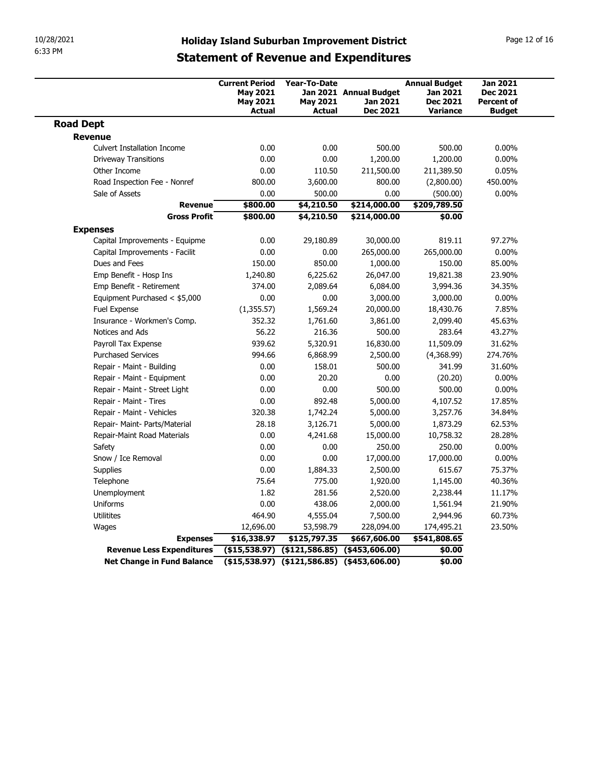| 10/28/2021                                     |                                                                                                     |                                                      |                                    |                                                     |                                                         |
|------------------------------------------------|-----------------------------------------------------------------------------------------------------|------------------------------------------------------|------------------------------------|-----------------------------------------------------|---------------------------------------------------------|
| 6:33 PM                                        | <b>Holiday Island Suburban Improvement District</b><br><b>Statement of Revenue and Expenditures</b> |                                                      |                                    |                                                     | Page 12 of 16                                           |
|                                                | <b>Current Period</b><br><b>May 2021</b><br><b>May 2021</b>                                         | Year-To-Date<br><b>May 2021</b>                      | Jan 2021 Annual Budget<br>Jan 2021 | <b>Annual Budget</b><br>Jan 2021<br><b>Dec 2021</b> | <b>Jan 2021</b><br><b>Dec 2021</b><br><b>Percent of</b> |
| <b>Road Dept</b>                               | <b>Actual</b>                                                                                       | Actual                                               | Dec 2021                           | Variance                                            | <b>Budget</b>                                           |
| Revenue                                        |                                                                                                     |                                                      |                                    |                                                     |                                                         |
| <b>Culvert Installation Income</b>             | 0.00                                                                                                | 0.00                                                 | 500.00                             | 500.00                                              | $0.00\%$                                                |
| <b>Driveway Transitions</b>                    | 0.00                                                                                                | 0.00                                                 | 1,200.00                           | 1,200.00                                            | $0.00\%$                                                |
| Other Income                                   | 0.00                                                                                                | 110.50                                               | 211,500.00                         | 211,389.50                                          | 0.05%                                                   |
| Road Inspection Fee - Nonref                   | 800.00                                                                                              | 3,600.00                                             | 800.00                             | (2,800.00)                                          | 450.00%                                                 |
| Sale of Assets                                 | 0.00<br>\$800.00<br><b>Revenue</b>                                                                  | 500.00<br>\$4,210.50                                 | 0.00<br>\$214,000.00               | (500.00)<br>\$209,789.50                            | $0.00\%$                                                |
| <b>Gross Profit</b>                            | \$800.00                                                                                            | \$4,210.50                                           | \$214,000.00                       | \$0.00                                              |                                                         |
| <b>Expenses</b>                                |                                                                                                     |                                                      |                                    |                                                     |                                                         |
| Capital Improvements - Equipme                 | 0.00                                                                                                | 29,180.89                                            | 30,000.00                          | 819.11                                              | 97.27%                                                  |
| Capital Improvements - Facilit                 | 0.00                                                                                                | 0.00                                                 | 265,000.00                         | 265,000.00                                          | $0.00\%$                                                |
| Dues and Fees                                  | 150.00                                                                                              | 850.00                                               | 1,000.00                           | 150.00                                              | 85.00%                                                  |
| Emp Benefit - Hosp Ins                         | 1,240.80                                                                                            | 6,225.62                                             | 26,047.00                          | 19,821.38                                           | 23.90%                                                  |
| Emp Benefit - Retirement                       | 374.00                                                                                              | 2,089.64                                             | 6,084.00                           | 3,994.36                                            | 34.35%                                                  |
| Equipment Purchased < \$5,000                  | 0.00                                                                                                | 0.00                                                 | 3,000.00                           | 3,000.00                                            | $0.00\%$                                                |
| Fuel Expense                                   | (1,355.57)                                                                                          | 1,569.24                                             | 20,000.00                          | 18,430.76                                           | 7.85%                                                   |
| Insurance - Workmen's Comp.<br>Notices and Ads | 352.32<br>56.22                                                                                     | 1,761.60<br>216.36                                   | 3,861.00<br>500.00                 | 2,099.40<br>283.64                                  | 45.63%<br>43.27%                                        |
| Payroll Tax Expense                            | 939.62                                                                                              | 5,320.91                                             | 16,830.00                          | 11,509.09                                           | 31.62%                                                  |
| <b>Purchased Services</b>                      | 994.66                                                                                              | 6,868.99                                             | 2,500.00                           | (4,368.99)                                          | 274.76%                                                 |
| Repair - Maint - Building                      | 0.00                                                                                                | 158.01                                               | 500.00                             | 341.99                                              | 31.60%                                                  |
| Repair - Maint - Equipment                     | 0.00                                                                                                | 20.20                                                | 0.00                               | (20.20)                                             | $0.00\%$                                                |
| Repair - Maint - Street Light                  | 0.00                                                                                                | 0.00                                                 | 500.00                             | 500.00                                              | $0.00\%$                                                |
| Repair - Maint - Tires                         | 0.00                                                                                                | 892.48                                               | 5,000.00                           | 4,107.52                                            | 17.85%                                                  |
| Repair - Maint - Vehicles                      | 320.38                                                                                              | 1,742.24                                             | 5,000.00                           | 3,257.76                                            | 34.84%                                                  |
| Repair- Maint- Parts/Material                  | 28.18                                                                                               | 3,126.71                                             | 5,000.00                           | 1,873.29                                            | 62.53%                                                  |
| Repair-Maint Road Materials                    | 0.00                                                                                                | 4,241.68                                             | 15,000.00                          | 10,758.32                                           | 28.28%                                                  |
| Safety<br>Snow / Ice Removal                   | 0.00<br>0.00                                                                                        | 0.00<br>0.00                                         | 250.00<br>17,000.00                | 250.00<br>17,000.00                                 | $0.00\%$<br>$0.00\%$                                    |
| Supplies                                       | 0.00                                                                                                | 1,884.33                                             | 2,500.00                           | 615.67                                              | 75.37%                                                  |
| Telephone                                      | 75.64                                                                                               | 775.00                                               | 1,920.00                           | 1,145.00                                            | 40.36%                                                  |
| Unemployment                                   | 1.82                                                                                                | 281.56                                               | 2,520.00                           | 2,238.44                                            | 11.17%                                                  |
| Uniforms                                       | 0.00                                                                                                | 438.06                                               | 2,000.00                           | 1,561.94                                            | 21.90%                                                  |
| Utilitites                                     | 464.90                                                                                              | 4,555.04                                             | 7,500.00                           | 2,944.96                                            | 60.73%                                                  |
| Wages                                          | 12,696.00                                                                                           | 53,598.79                                            | 228,094.00                         | 174,495.21                                          | 23.50%                                                  |
| <b>Expenses</b>                                | \$16,338.97                                                                                         | \$125,797.35                                         | \$667,606.00                       | \$541,808.65                                        |                                                         |
| <b>Revenue Less Expenditures</b>               | $($ \$15,538.97) $($ \$121,586.85) $($ \$453,606.00)                                                |                                                      |                                    | \$0.00                                              |                                                         |
|                                                |                                                                                                     | $($ \$15,538.97) $($ \$121,586.85) $($ \$453,606.00) |                                    | \$0.00                                              |                                                         |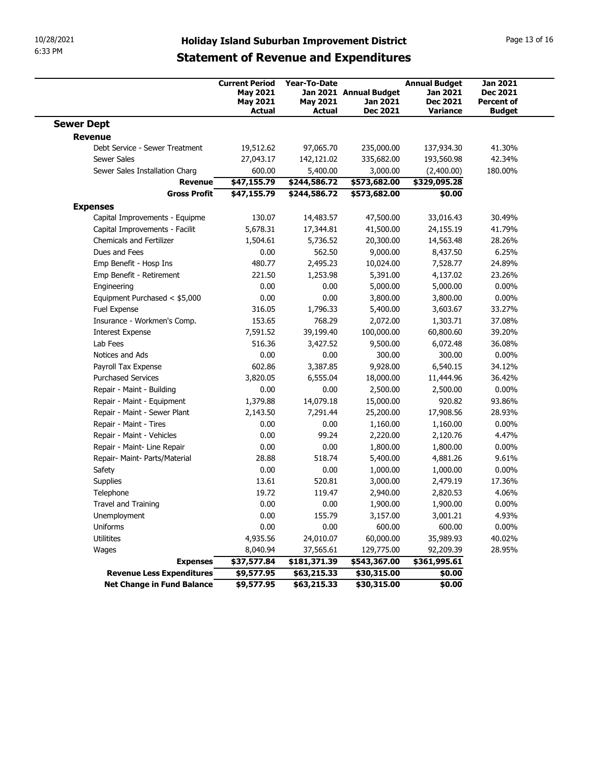| 6:33 PM                                                |                                                                              |                                           | <b>Holiday Island Suburban Improvement District</b>   |                                                                        | Page 13 of 16                                                     |  |
|--------------------------------------------------------|------------------------------------------------------------------------------|-------------------------------------------|-------------------------------------------------------|------------------------------------------------------------------------|-------------------------------------------------------------------|--|
|                                                        |                                                                              |                                           | <b>Statement of Revenue and Expenditures</b>          |                                                                        |                                                                   |  |
|                                                        | <b>Current Period</b><br><b>May 2021</b><br><b>May 2021</b><br><b>Actual</b> | Year-To-Date<br><b>May 2021</b><br>Actual | Jan 2021 Annual Budget<br>Jan 2021<br><b>Dec 2021</b> | <b>Annual Budget</b><br>Jan 2021<br><b>Dec 2021</b><br><b>Variance</b> | <b>Jan 2021</b><br>Dec 2021<br><b>Percent of</b><br><b>Budget</b> |  |
| <b>Sewer Dept</b>                                      |                                                                              |                                           |                                                       |                                                                        |                                                                   |  |
| <b>Revenue</b>                                         |                                                                              |                                           |                                                       |                                                                        |                                                                   |  |
| Debt Service - Sewer Treatment<br>Sewer Sales          | 19,512.62                                                                    | 97,065.70                                 | 235,000.00                                            | 137,934.30                                                             | 41.30%<br>42.34%                                                  |  |
| Sewer Sales Installation Charg                         | 27,043.17<br>600.00                                                          | 142,121.02<br>5,400.00                    | 335,682.00<br>3,000.00                                | 193,560.98<br>(2,400.00)                                               | 180.00%                                                           |  |
| Revenue                                                | \$47,155.79                                                                  | \$244,586.72                              | \$573,682.00                                          | \$329,095.28                                                           |                                                                   |  |
| <b>Gross Profit</b>                                    | \$47,155.79                                                                  | \$244,586.72                              | \$573,682.00                                          | \$0.00                                                                 |                                                                   |  |
| <b>Expenses</b>                                        |                                                                              |                                           |                                                       |                                                                        |                                                                   |  |
| Capital Improvements - Equipme                         | 130.07                                                                       | 14,483.57                                 | 47,500.00                                             | 33,016.43                                                              | 30.49%                                                            |  |
| Capital Improvements - Facilit                         | 5,678.31                                                                     | 17,344.81                                 | 41,500.00                                             | 24,155.19                                                              | 41.79%                                                            |  |
| Chemicals and Fertilizer                               | 1,504.61                                                                     | 5,736.52                                  | 20,300.00                                             | 14,563.48                                                              | 28.26%                                                            |  |
| Dues and Fees                                          | 0.00                                                                         | 562.50                                    | 9,000.00                                              | 8,437.50                                                               | 6.25%                                                             |  |
| Emp Benefit - Hosp Ins                                 | 480.77                                                                       | 2,495.23                                  | 10,024.00                                             | 7,528.77                                                               | 24.89%                                                            |  |
| Emp Benefit - Retirement<br>Engineering                | 221.50<br>0.00                                                               | 1,253.98<br>0.00                          | 5,391.00<br>5,000.00                                  | 4,137.02<br>5,000.00                                                   | 23.26%<br>$0.00\%$                                                |  |
| Equipment Purchased < \$5,000                          | 0.00                                                                         | 0.00                                      | 3,800.00                                              | 3,800.00                                                               | $0.00\%$                                                          |  |
| Fuel Expense                                           | 316.05                                                                       | 1,796.33                                  | 5,400.00                                              | 3,603.67                                                               | 33.27%                                                            |  |
| Insurance - Workmen's Comp.                            | 153.65                                                                       | 768.29                                    | 2,072.00                                              | 1,303.71                                                               | 37.08%                                                            |  |
| <b>Interest Expense</b>                                | 7,591.52                                                                     | 39,199.40                                 | 100,000.00                                            | 60,800.60                                                              | 39.20%                                                            |  |
| Lab Fees                                               | 516.36                                                                       | 3,427.52                                  | 9,500.00                                              | 6,072.48                                                               | 36.08%                                                            |  |
| Notices and Ads                                        | 0.00                                                                         | 0.00                                      | 300.00                                                | 300.00                                                                 | $0.00\%$                                                          |  |
| Payroll Tax Expense                                    | 602.86                                                                       | 3,387.85                                  | 9,928.00                                              | 6,540.15                                                               | 34.12%                                                            |  |
| <b>Purchased Services</b><br>Repair - Maint - Building | 3,820.05<br>0.00                                                             | 6,555.04<br>0.00                          | 18,000.00<br>2,500.00                                 | 11,444.96<br>2,500.00                                                  | 36.42%<br>$0.00\%$                                                |  |
| Repair - Maint - Equipment                             | 1,379.88                                                                     | 14,079.18                                 | 15,000.00                                             | 920.82                                                                 | 93.86%                                                            |  |
| Repair - Maint - Sewer Plant                           | 2,143.50                                                                     | 7,291.44                                  | 25,200.00                                             | 17,908.56                                                              | 28.93%                                                            |  |
| Repair - Maint - Tires                                 | 0.00                                                                         | 0.00                                      | 1,160.00                                              | 1,160.00                                                               | $0.00\%$                                                          |  |
| Repair - Maint - Vehicles                              | 0.00                                                                         | 99.24                                     | 2,220.00                                              | 2,120.76                                                               | 4.47%                                                             |  |
| Repair - Maint- Line Repair                            | 0.00                                                                         | 0.00                                      | 1,800.00                                              | 1,800.00                                                               | $0.00\%$                                                          |  |
| Repair- Maint- Parts/Material                          | 28.88                                                                        | 518.74                                    | 5,400.00                                              | 4,881.26                                                               | 9.61%                                                             |  |
| Safety                                                 | 0.00                                                                         | 0.00                                      | 1,000.00                                              | 1,000.00                                                               | $0.00\%$                                                          |  |
| Supplies                                               | 13.61                                                                        | 520.81                                    | 3,000.00                                              | 2,479.19                                                               | 17.36%                                                            |  |
| Telephone                                              | 19.72                                                                        | 119.47                                    | 2,940.00                                              | 2,820.53                                                               | 4.06%                                                             |  |
| Travel and Training                                    | 0.00                                                                         | 0.00                                      | 1,900.00                                              | 1,900.00                                                               | $0.00\%$                                                          |  |
| Unemployment                                           | 0.00                                                                         | 155.79                                    | 3,157.00                                              | 3,001.21                                                               | 4.93%                                                             |  |
| Uniforms                                               | 0.00                                                                         | 0.00                                      | 600.00                                                | 600.00                                                                 | $0.00\%$                                                          |  |
| Utilitites                                             | 4,935.56                                                                     | 24,010.07                                 | 60,000.00                                             | 35,989.93                                                              | 40.02%                                                            |  |
| Wages                                                  | 8,040.94<br>\$37,577.84                                                      | 37,565.61<br>\$181,371.39                 | 129,775.00<br>\$543,367.00                            | 92,209.39<br>\$361,995.61                                              | 28.95%                                                            |  |
|                                                        |                                                                              |                                           |                                                       | \$0.00                                                                 |                                                                   |  |
| <b>Expenses</b><br><b>Revenue Less Expenditures</b>    | \$9,577.95                                                                   | \$63,215.33                               | \$30,315.00                                           |                                                                        |                                                                   |  |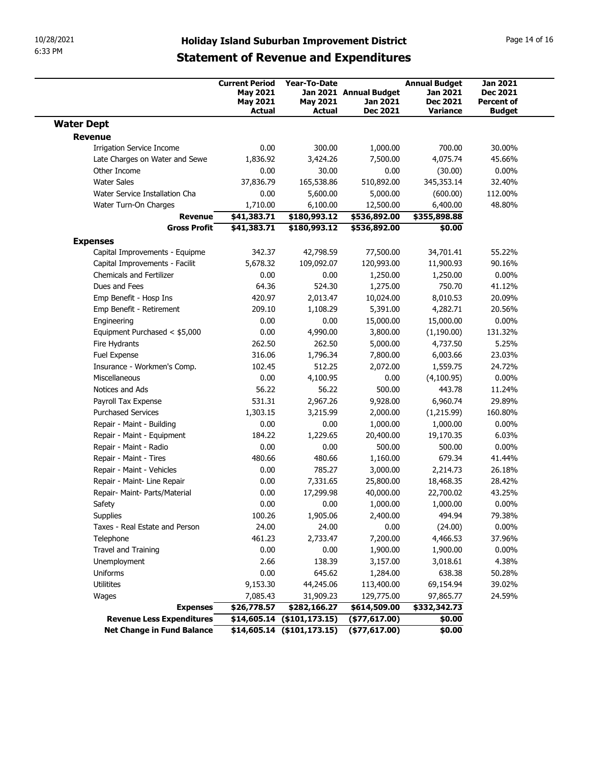|                                                            |                                                             |                                        |                                    | <b>Holiday Island Suburban Improvement District</b><br><b>Statement of Revenue and Expenditures</b> |                                                  |  |  |  |  |  |
|------------------------------------------------------------|-------------------------------------------------------------|----------------------------------------|------------------------------------|-----------------------------------------------------------------------------------------------------|--------------------------------------------------|--|--|--|--|--|
|                                                            |                                                             |                                        |                                    |                                                                                                     |                                                  |  |  |  |  |  |
|                                                            | <b>Current Period</b><br><b>May 2021</b><br><b>May 2021</b> | <b>Year-To-Date</b><br><b>May 2021</b> | Jan 2021 Annual Budget<br>Jan 2021 | <b>Annual Budget</b><br>Jan 2021<br><b>Dec 2021</b>                                                 | <b>Jan 2021</b><br>Dec 2021<br><b>Percent of</b> |  |  |  |  |  |
|                                                            | <b>Actual</b>                                               | Actual                                 | <b>Dec 2021</b>                    | <b>Variance</b>                                                                                     | <b>Budget</b>                                    |  |  |  |  |  |
| <b>Water Dept</b>                                          |                                                             |                                        |                                    |                                                                                                     |                                                  |  |  |  |  |  |
| <b>Revenue</b><br><b>Irrigation Service Income</b>         | 0.00                                                        | 300.00                                 | 1,000.00                           | 700.00                                                                                              | 30.00%                                           |  |  |  |  |  |
| Late Charges on Water and Sewe                             | 1,836.92                                                    | 3,424.26                               | 7,500.00                           | 4,075.74                                                                                            | 45.66%                                           |  |  |  |  |  |
| Other Income                                               | 0.00                                                        | 30.00                                  | 0.00                               | (30.00)                                                                                             | $0.00\%$                                         |  |  |  |  |  |
| <b>Water Sales</b>                                         | 37,836.79                                                   | 165,538.86                             | 510,892.00                         | 345,353.14                                                                                          | 32.40%                                           |  |  |  |  |  |
| Water Service Installation Cha<br>Water Turn-On Charges    | 0.00<br>1,710.00                                            | 5,600.00<br>6,100.00                   | 5,000.00<br>12,500.00              | (600.00)<br>6,400.00                                                                                | 112.00%<br>48.80%                                |  |  |  |  |  |
| Revenue                                                    | \$41,383.71                                                 | \$180,993.12                           | \$536,892.00                       | \$355,898.88                                                                                        |                                                  |  |  |  |  |  |
| <b>Gross Profit</b>                                        | \$41,383.71                                                 | \$180,993.12                           | \$536,892.00                       | \$0.00                                                                                              |                                                  |  |  |  |  |  |
| <b>Expenses</b>                                            |                                                             |                                        |                                    |                                                                                                     |                                                  |  |  |  |  |  |
| Capital Improvements - Equipme                             | 342.37                                                      | 42,798.59                              | 77,500.00                          | 34,701.41                                                                                           | 55.22%                                           |  |  |  |  |  |
| Capital Improvements - Facilit<br>Chemicals and Fertilizer | 5,678.32<br>0.00                                            | 109,092.07<br>0.00                     | 120,993.00<br>1,250.00             | 11,900.93<br>1,250.00                                                                               | 90.16%<br>$0.00\%$                               |  |  |  |  |  |
| Dues and Fees                                              | 64.36                                                       | 524.30                                 | 1,275.00                           | 750.70                                                                                              | 41.12%                                           |  |  |  |  |  |
| Emp Benefit - Hosp Ins                                     | 420.97                                                      | 2,013.47                               | 10,024.00                          | 8,010.53                                                                                            | 20.09%                                           |  |  |  |  |  |
| Emp Benefit - Retirement                                   | 209.10                                                      | 1,108.29                               | 5,391.00                           | 4,282.71                                                                                            | 20.56%                                           |  |  |  |  |  |
| Engineering                                                | 0.00                                                        | 0.00                                   | 15,000.00                          | 15,000.00                                                                                           | $0.00\%$                                         |  |  |  |  |  |
| Equipment Purchased < \$5,000<br>Fire Hydrants             | 0.00<br>262.50                                              | 4,990.00<br>262.50                     | 3,800.00<br>5,000.00               | (1,190.00)<br>4,737.50                                                                              | 131.32%<br>5.25%                                 |  |  |  |  |  |
| Fuel Expense                                               | 316.06                                                      | 1,796.34                               | 7,800.00                           | 6,003.66                                                                                            | 23.03%                                           |  |  |  |  |  |
| Insurance - Workmen's Comp.                                | 102.45                                                      | 512.25                                 | 2,072.00                           | 1,559.75                                                                                            | 24.72%                                           |  |  |  |  |  |
| Miscellaneous                                              | 0.00                                                        | 4,100.95                               | 0.00                               | (4,100.95)                                                                                          | $0.00\%$                                         |  |  |  |  |  |
| Notices and Ads                                            | 56.22                                                       | 56.22                                  | 500.00                             | 443.78                                                                                              | 11.24%                                           |  |  |  |  |  |
| Payroll Tax Expense                                        | 531.31                                                      | 2,967.26                               | 9,928.00                           | 6,960.74                                                                                            | 29.89%                                           |  |  |  |  |  |
| <b>Purchased Services</b><br>Repair - Maint - Building     | 1,303.15<br>0.00                                            | 3,215.99<br>0.00                       | 2,000.00<br>1,000.00               | (1,215.99)<br>1,000.00                                                                              | 160.80%<br>$0.00\%$                              |  |  |  |  |  |
| Repair - Maint - Equipment                                 | 184.22                                                      | 1,229.65                               | 20,400.00                          | 19,170.35                                                                                           | 6.03%                                            |  |  |  |  |  |
| Repair - Maint - Radio                                     | 0.00                                                        | 0.00                                   | 500.00                             | 500.00                                                                                              | $0.00\%$                                         |  |  |  |  |  |
| Repair - Maint - Tires                                     | 480.66                                                      | 480.66                                 | 1,160.00                           | 679.34                                                                                              | 41.44%                                           |  |  |  |  |  |
| Repair - Maint - Vehicles                                  | 0.00                                                        | 785.27                                 | 3,000.00                           | 2,214.73                                                                                            | 26.18%                                           |  |  |  |  |  |
| Repair - Maint- Line Repair                                | 0.00                                                        | 7,331.65                               | 25,800.00                          | 18,468.35                                                                                           | 28.42%                                           |  |  |  |  |  |
| Repair- Maint- Parts/Material<br>Safety                    | 0.00<br>0.00                                                | 17,299.98<br>0.00                      | 40,000.00<br>1,000.00              | 22,700.02<br>1,000.00                                                                               | 43.25%<br>$0.00\%$                               |  |  |  |  |  |
| Supplies                                                   | 100.26                                                      | 1,905.06                               | 2,400.00                           | 494.94                                                                                              | 79.38%                                           |  |  |  |  |  |
| Taxes - Real Estate and Person                             | 24.00                                                       | 24.00                                  | 0.00                               | (24.00)                                                                                             | $0.00\%$                                         |  |  |  |  |  |
| Telephone                                                  | 461.23                                                      | 2,733.47                               | 7,200.00                           | 4,466.53                                                                                            | 37.96%                                           |  |  |  |  |  |
| Travel and Training                                        | 0.00                                                        | 0.00                                   | 1,900.00                           | 1,900.00                                                                                            | $0.00\%$                                         |  |  |  |  |  |
| Unemployment                                               | 2.66                                                        | 138.39                                 | 3,157.00                           | 3,018.61                                                                                            | 4.38%                                            |  |  |  |  |  |
| Uniforms                                                   | 0.00                                                        | 645.62                                 | 1,284.00                           | 638.38                                                                                              | 50.28%                                           |  |  |  |  |  |
| Utilitites<br>Wages                                        | 9,153.30<br>7,085.43                                        | 44,245.06<br>31,909.23                 | 113,400.00<br>129,775.00           | 69,154.94<br>97,865.77                                                                              | 39.02%<br>24.59%                                 |  |  |  |  |  |
| <b>Expenses</b>                                            | \$26,778.57                                                 | \$282,166.27                           | \$614,509.00                       | \$332,342.73                                                                                        |                                                  |  |  |  |  |  |
| <b>Revenue Less Expenditures</b>                           |                                                             | $$14,605.14$ (\$101,173.15)            | $($ \$77,617.00)                   | \$0.00                                                                                              |                                                  |  |  |  |  |  |
|                                                            |                                                             | $$14,605.14$ (\$101,173.15)            | $($ \$77,617.00)                   | \$0.00                                                                                              |                                                  |  |  |  |  |  |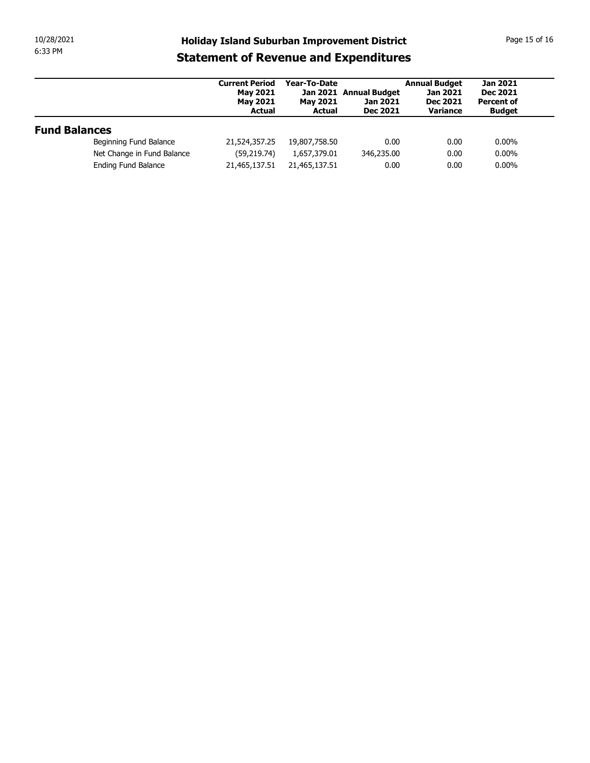| 10/28/2021<br><b>Holiday Island Suburban Improvement District</b><br>6:33 PM<br><b>Statement of Revenue and Expenditures</b><br><b>Annual Budget</b><br><b>Jan 2021</b><br><b>Current Period</b><br>Year-To-Date<br>Jan 2021 Annual Budget<br><b>May 2021</b><br>Jan 2021<br><b>Dec 2021</b><br><b>Dec 2021</b><br><b>Percent of</b><br><b>May 2021</b><br><b>May 2021</b><br>Jan 2021<br><b>Dec 2021</b><br>Variance<br><b>Actual</b><br><b>Actual</b><br><b>Budget</b><br><b>Fund Balances</b><br>Beginning Fund Balance<br>21,524,357.25<br>19,807,758.50<br>0.00<br>0.00<br>$0.00\%$<br>Net Change in Fund Balance<br>346,235.00<br>$0.00\%$<br>(59, 219.74)<br>1,657,379.01<br>0.00<br>Ending Fund Balance<br>0.00<br>$0.00\%$<br>21,465,137.51<br>21,465,137.51<br>0.00 |  |  |  |  |
|-------------------------------------------------------------------------------------------------------------------------------------------------------------------------------------------------------------------------------------------------------------------------------------------------------------------------------------------------------------------------------------------------------------------------------------------------------------------------------------------------------------------------------------------------------------------------------------------------------------------------------------------------------------------------------------------------------------------------------------------------------------------------------|--|--|--|--|
| Page 15 of 16                                                                                                                                                                                                                                                                                                                                                                                                                                                                                                                                                                                                                                                                                                                                                                 |  |  |  |  |
|                                                                                                                                                                                                                                                                                                                                                                                                                                                                                                                                                                                                                                                                                                                                                                               |  |  |  |  |
|                                                                                                                                                                                                                                                                                                                                                                                                                                                                                                                                                                                                                                                                                                                                                                               |  |  |  |  |
|                                                                                                                                                                                                                                                                                                                                                                                                                                                                                                                                                                                                                                                                                                                                                                               |  |  |  |  |
|                                                                                                                                                                                                                                                                                                                                                                                                                                                                                                                                                                                                                                                                                                                                                                               |  |  |  |  |
|                                                                                                                                                                                                                                                                                                                                                                                                                                                                                                                                                                                                                                                                                                                                                                               |  |  |  |  |
|                                                                                                                                                                                                                                                                                                                                                                                                                                                                                                                                                                                                                                                                                                                                                                               |  |  |  |  |
|                                                                                                                                                                                                                                                                                                                                                                                                                                                                                                                                                                                                                                                                                                                                                                               |  |  |  |  |
|                                                                                                                                                                                                                                                                                                                                                                                                                                                                                                                                                                                                                                                                                                                                                                               |  |  |  |  |
|                                                                                                                                                                                                                                                                                                                                                                                                                                                                                                                                                                                                                                                                                                                                                                               |  |  |  |  |
|                                                                                                                                                                                                                                                                                                                                                                                                                                                                                                                                                                                                                                                                                                                                                                               |  |  |  |  |
|                                                                                                                                                                                                                                                                                                                                                                                                                                                                                                                                                                                                                                                                                                                                                                               |  |  |  |  |
|                                                                                                                                                                                                                                                                                                                                                                                                                                                                                                                                                                                                                                                                                                                                                                               |  |  |  |  |
|                                                                                                                                                                                                                                                                                                                                                                                                                                                                                                                                                                                                                                                                                                                                                                               |  |  |  |  |
|                                                                                                                                                                                                                                                                                                                                                                                                                                                                                                                                                                                                                                                                                                                                                                               |  |  |  |  |
|                                                                                                                                                                                                                                                                                                                                                                                                                                                                                                                                                                                                                                                                                                                                                                               |  |  |  |  |
|                                                                                                                                                                                                                                                                                                                                                                                                                                                                                                                                                                                                                                                                                                                                                                               |  |  |  |  |
|                                                                                                                                                                                                                                                                                                                                                                                                                                                                                                                                                                                                                                                                                                                                                                               |  |  |  |  |
|                                                                                                                                                                                                                                                                                                                                                                                                                                                                                                                                                                                                                                                                                                                                                                               |  |  |  |  |
|                                                                                                                                                                                                                                                                                                                                                                                                                                                                                                                                                                                                                                                                                                                                                                               |  |  |  |  |
|                                                                                                                                                                                                                                                                                                                                                                                                                                                                                                                                                                                                                                                                                                                                                                               |  |  |  |  |
|                                                                                                                                                                                                                                                                                                                                                                                                                                                                                                                                                                                                                                                                                                                                                                               |  |  |  |  |
|                                                                                                                                                                                                                                                                                                                                                                                                                                                                                                                                                                                                                                                                                                                                                                               |  |  |  |  |
|                                                                                                                                                                                                                                                                                                                                                                                                                                                                                                                                                                                                                                                                                                                                                                               |  |  |  |  |
|                                                                                                                                                                                                                                                                                                                                                                                                                                                                                                                                                                                                                                                                                                                                                                               |  |  |  |  |